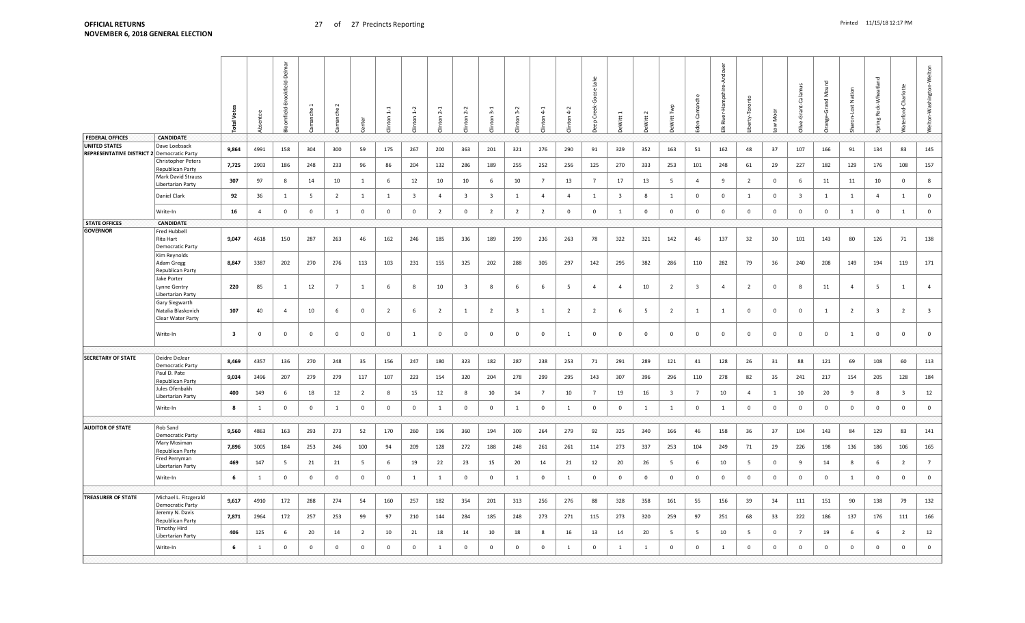|                                                                    |                                                           | Š<br>otal <sup>-</sup>  |                | Delma<br>ookfield-<br>ᄒ<br>mfield- |                | manche          | nter           | $\epsilon$     | $\overline{5}$ | $\frac{2}{3}$           | $\sim$<br>$\epsilon$    | ന്<br>$\epsilon$        | $3-2$<br>$\epsilon$     | $4-1$<br>$\mathfrak{r}$ on | $\dot{v}$<br>$\overline{4}$<br>$\epsilon$ | O<br>Creek<br>$\alpha$ | Vitt                    | $\sim$<br>witt | Witt           | ී                       | ę<br>Hamps<br>River<br>≚ | rty-Toronto    | Moor           | Calar<br>-Grant-        | ž<br>bue.<br>Ğ<br>ange | <b>Nati</b><br>Lost<br>ā, | Rock-Wheatland<br>Φü    | aterford-Charlotte      | Welton-Washington-Welton |
|--------------------------------------------------------------------|-----------------------------------------------------------|-------------------------|----------------|------------------------------------|----------------|-----------------|----------------|----------------|----------------|-------------------------|-------------------------|-------------------------|-------------------------|----------------------------|-------------------------------------------|------------------------|-------------------------|----------------|----------------|-------------------------|--------------------------|----------------|----------------|-------------------------|------------------------|---------------------------|-------------------------|-------------------------|--------------------------|
| <b>FEDERAL OFFICES</b>                                             | <b>CANDIDATE</b>                                          |                         |                |                                    |                |                 |                |                |                |                         |                         |                         |                         |                            |                                           |                        |                         |                |                |                         |                          |                |                |                         |                        |                           |                         |                         |                          |
| <b>UNITED STATES</b><br>REPRESENTATIVE DISTRICT 2 Democratic Party | Dave Loebsack<br>Christopher Peters                       | 9,864                   | 4991           | 158                                | 304            | 300             | 59             | 175            | 267            | 200                     | 363                     | 201                     | 321                     | 276                        | 290                                       | 91                     | 329                     | 352            | 163            | 51                      | 162                      | 48             | 37             | 107                     | 166                    | 91                        | 134                     | 83                      | 145                      |
|                                                                    | Republican Party                                          | 7,725                   | 2903           | 186                                | 248            | 233             | 96             | 86             | 204            | 132                     | 286                     | 189                     | 255                     | 252                        | 256                                       | 125                    | 270                     | 333            | 253            | 101                     | 248                      | 61             | 29             | 227                     | 182                    | 129                       | 176                     | 108                     | 157                      |
|                                                                    | Mark David Strauss<br>Libertarian Party                   | 307                     | 97             | 8                                  | 14             | 10              | 1              | 6              | 12             | 10                      | 10                      | 6                       | 10                      | $\overline{7}$             | 13                                        | $\overline{7}$         | 17                      | 13             | 5              | $\overline{4}$          | 9                        | $\overline{2}$ | $\mathbf{0}$   | 6                       | 11                     | 11                        | 10                      | $\overline{0}$          | 8                        |
|                                                                    | Daniel Clark                                              | 92                      | 36             | 1                                  | 5              | $\overline{2}$  | 1              | $\mathbf{1}$   | $\overline{3}$ | $\overline{4}$          | $\overline{\mathbf{3}}$ | $\overline{\mathbf{3}}$ | 1                       | $\overline{4}$             | $\overline{4}$                            | 1                      | $\overline{\mathbf{3}}$ | 8              | $\mathbf{1}$   | $\mathbf 0$             | $\mathbf 0$              | 1              | $\overline{0}$ | $\overline{\mathbf{3}}$ | $\mathbf{1}$           | $\mathbf{1}$              | $\overline{4}$          | 1                       | $\mathbf 0$              |
|                                                                    | Write-In                                                  | 16                      | $\overline{4}$ | $\mathbf 0$                        | $\mathbf{0}$   | $\mathbf{1}$    | $\mathbf{0}$   | $\mathbf 0$    | $\mathbf 0$    | $\overline{2}$          | $\overline{0}$          | 2                       | $\overline{2}$          | $\overline{2}$             | $\mathbf 0$                               | $\overline{0}$         | <sup>1</sup>            | $\overline{0}$ | $\mathbf{0}$   | $\mathbf 0$             | $\mathbf 0$              | $\mathbf{0}$   | $\overline{0}$ | $\mathbf{0}$            | $\mathbf 0$            | 1                         | $\mathbf 0$             | $\overline{1}$          | $\mathbf 0$              |
| <b>STATE OFFICES</b>                                               | <b>CANDIDATE</b>                                          |                         |                |                                    |                |                 |                |                |                |                         |                         |                         |                         |                            |                                           |                        |                         |                |                |                         |                          |                |                |                         |                        |                           |                         |                         |                          |
| <b>GOVERNOR</b>                                                    | <b>Fred Hubbell</b><br>Rita Hart<br>Democratic Party      | 9,047                   | 4618           | 150                                | 287            | 263             | 46             | 162            | 246            | 185                     | 336                     | 189                     | 299                     | 236                        | 263                                       | 78                     | 322                     | 321            | 142            | 46                      | 137                      | 32             | 30             | 101                     | 143                    | 80                        | 126                     | 71                      | 138                      |
|                                                                    | Kim Reynolds<br>Adam Gregg<br>Republican Party            | 8,847                   | 3387           | 202                                | 270            | 276             | 113            | 103            | 231            | 155                     | 325                     | 202                     | 288                     | 305                        | 297                                       | 142                    | 295                     | 382            | 286            | 110                     | 282                      | 79             | 36             | 240                     | 208                    | 149                       | 194                     | 119                     | 171                      |
|                                                                    | Jake Porter<br>Lynne Gentry<br>Libertarian Party          | 220                     | 85             | 1                                  | 12             | $7\overline{ }$ | $\mathbf{1}$   | 6              | 8              | 10                      | $\overline{\mathbf{3}}$ | 8                       | 6                       | 6                          | $5\phantom{.0}$                           | $\overline{4}$         | $\overline{4}$          | 10             | $\overline{2}$ | $\overline{\mathbf{3}}$ | $\overline{4}$           | $\overline{2}$ | $\overline{0}$ | 8                       | 11                     | $\overline{a}$            | 5                       | 1                       | $\overline{4}$           |
|                                                                    | Gary Siegwarth<br>Natalia Blaskovich<br>Clear Water Party | 107                     | 40             | $\overline{4}$                     | 10             | 6               | $\overline{0}$ | $\overline{2}$ | 6              | $\overline{2}$          | 1                       | $\overline{2}$          | $\overline{\mathbf{3}}$ | 1                          | $\overline{2}$                            | $\overline{2}$         | -6                      | 5              | $\overline{2}$ | 1                       | 1                        | $\overline{0}$ | $\overline{0}$ | $\overline{0}$          | 1                      | $\overline{2}$            | $\overline{\mathbf{3}}$ | $\overline{2}$          | $\overline{\mathbf{3}}$  |
|                                                                    | Write-In                                                  | $\overline{\mathbf{3}}$ | $\mathbf{0}$   | $\mathbf{0}$                       | $\mathbf{0}$   | $\overline{0}$  | $\overline{0}$ | 0              | 1              | $\overline{\mathbf{0}}$ | $\overline{0}$          | $\overline{0}$          | $\overline{0}$          | $\overline{0}$             | $\mathbf{1}$                              | $\overline{0}$         | $\overline{0}$          | $\overline{0}$ | $\overline{0}$ | $\mathbf{0}$            | $\mathbf 0$              | $\mathbf{0}$   | $\overline{0}$ | $\overline{0}$          | $\mathbf 0$            | 1                         | $\overline{\mathbf{0}}$ | $\mathbf{0}$            | $\mathbf 0$              |
|                                                                    |                                                           |                         |                |                                    |                |                 |                |                |                |                         |                         |                         |                         |                            |                                           |                        |                         |                |                |                         |                          |                |                |                         |                        |                           |                         |                         |                          |
| <b>SECRETARY OF STATE</b>                                          | Deidre DeJear<br>Democratic Party                         | 8,469                   | 4357           | 136                                | 270            | 248             | 35             | 156            | 247            | 180                     | 323                     | 182                     | 287                     | 238                        | 253                                       | 71                     | 291                     | 289            | 121            | 41                      | 128                      | 26             | 31             | 88                      | 121                    | 69                        | 108                     | 60                      | 113                      |
|                                                                    | Paul D. Pate<br>Republican Party                          | 9,034                   | 3496           | 207                                | 279            | 279             | 117            | 107            | 223            | 154                     | 320                     | 204                     | 278                     | 299                        | 295                                       | 143                    | 307                     | 396            | 296            | 110                     | 278                      | 82             | 35             | 241                     | 217                    | 154                       | 205                     | 128                     | 184                      |
|                                                                    | Jules Ofenbakh<br>Libertarian Party                       | 400                     | 149            | 6                                  | 18             | 12              | $\overline{2}$ | 8              | 15             | 12                      | 8                       | 10                      | 14                      | $7\overline{ }$            | 10                                        | $\overline{7}$         | 19                      | 16             | $\overline{3}$ | $\overline{7}$          | 10                       | $\overline{4}$ | <sup>1</sup>   | 10                      | 20                     | 9                         | 8                       | $\overline{\mathbf{3}}$ | 12                       |
|                                                                    | Write-In                                                  | 8                       | 1              | $\mathbf{0}$                       | $\mathbf{0}$   | $\overline{1}$  | $\mathbf{0}$   | $\mathbf 0$    | $\mathbf 0$    | 1                       | $\overline{0}$          | $\overline{0}$          | <sup>1</sup>            | $\mathbf 0$                | $\mathbf{1}$                              | $\overline{0}$         | $\Omega$                | 1              | $\mathbf{1}$   | $\mathbf 0$             | 1                        | $\mathbf{0}$   | $\overline{0}$ | $\mathbf{0}$            | $\mathbf 0$            | $\mathbf 0$               | $\overline{0}$          | $\overline{0}$          | $\mathbf 0$              |
| <b>AUDITOR OF STATE</b>                                            | Rob Sand                                                  |                         |                |                                    |                |                 |                |                |                |                         |                         |                         |                         |                            |                                           |                        |                         |                |                |                         |                          |                |                |                         |                        |                           |                         |                         |                          |
|                                                                    | Democratic Party<br>Mary Mosiman                          | 9,560                   | 4863           | 163                                | 293            | 273             | 52             | 170            | 260            | 196                     | 360                     | 194                     | 309                     | 264                        | 279                                       | 92                     | 325                     | 340            | 166            | 46                      | 158                      | 36             | 37             | 104                     | 143                    | 84                        | 129                     | 83                      | 141                      |
|                                                                    | Republican Party<br>Fred Perryman                         | 7,896                   | 3005           | 184                                | 253            | 246             | 100            | 94             | 209            | 128                     | 272                     | 188                     | 248                     | 261                        | 261                                       | 114                    | 273                     | 337            | 253            | 104                     | 249                      | 71             | 29             | 226                     | 198                    | 136                       | 186                     | 106                     | 165                      |
|                                                                    | Libertarian Party                                         | 469                     | 147            | -5                                 | 21             | 21              | 5              | 6              | 19             | 22                      | 23                      | 15                      | 20                      | 14                         | 21                                        | 12                     | 20                      | 26             | 5              | 6                       | 10                       | 5              | $\mathbf 0$    | 9                       | 14                     | 8                         | 6                       | $\overline{2}$          | $7\overline{ }$          |
|                                                                    | Write-In                                                  | 6                       | 1              | $\mathbf{0}$                       | $\mathbf 0$    | $\mathbf 0$     | $\overline{0}$ | $\mathbf 0$    | 1              | $\mathbf{1}$            | $\mathbf 0$             | $\overline{0}$          | $\mathbf{1}$            | $\overline{0}$             | $\mathbf{1}$                              | $\overline{0}$         | $\mathbf 0$             | $\overline{0}$ | $\mathbf 0$    | $\mathbf 0$             | $\mathbf 0$              | $\mathbf 0$    | $\overline{0}$ | $\overline{0}$          | $\mathbf 0$            | 1                         | $\mathbf 0$             | $\mathbf 0$             | $\mathbf 0$              |
|                                                                    |                                                           |                         |                |                                    |                |                 |                |                |                |                         |                         |                         |                         |                            |                                           |                        |                         |                |                |                         |                          |                |                |                         |                        |                           |                         |                         |                          |
| <b>TREASURER OF STATE</b>                                          | Michael L. Fitzgerald<br>Democratic Party                 | 9,617                   | 4910           | 172                                | 288            | 274             | 54             | 160            | 257            | 182                     | 354                     | 201                     | 313                     | 256                        | 276                                       | 88                     | 328                     | 358            | 161            | 55                      | 156                      | 39             | 34             | 111                     | 151                    | 90                        | 138                     | 79                      | 132                      |
|                                                                    | Jeremy N. Davis<br>Republican Party                       | 7,871                   | 2964           | 172                                | 257            | 253             | 99             | 97             | 210            | 144                     | 284                     | 185                     | 248                     | 273                        | 271                                       | 115                    | 273                     | 320            | 259            | 97                      | 251                      | 68             | 33             | 222                     | 186                    | 137                       | 176                     | 111                     | 166                      |
|                                                                    | Timothy Hird<br>Libertarian Party                         | 406                     | 125            | 6                                  | 20             | 14              | $\overline{2}$ | 10             | 21             | 18                      | 14                      | 10                      | 18                      | -8                         | 16                                        | 13                     | 14                      | 20             | 5              | -5                      | 10                       | 5              | $\overline{0}$ | $\overline{7}$          | 19                     | 6                         | 6                       | $\overline{2}$          | 12                       |
|                                                                    | Write-In                                                  | 6                       | 1              | $\mathbf 0$                        | $\overline{0}$ | $\mathbf 0$     | $\mathbf 0$    | $\mathbf 0$    | $\overline{0}$ | 1                       | $\mathbf 0$             | $\overline{0}$          | $\mathbf{0}$            | $\mathbf 0$                | $\mathbf{1}$                              | $\mathbf{0}$           | <sup>1</sup>            | 1              | $\mathbf{0}$   | $\mathbf 0$             | $\mathbf{1}$             | $\overline{0}$ | $\mathbf 0$    | $\overline{0}$          | $\mathbf 0$            | $\mathbf{0}$              | $\mathbf 0$             | $\mathbf 0$             | $\mathbf 0$              |
|                                                                    |                                                           |                         |                |                                    |                |                 |                |                |                |                         |                         |                         |                         |                            |                                           |                        |                         |                |                |                         |                          |                |                |                         |                        |                           |                         |                         |                          |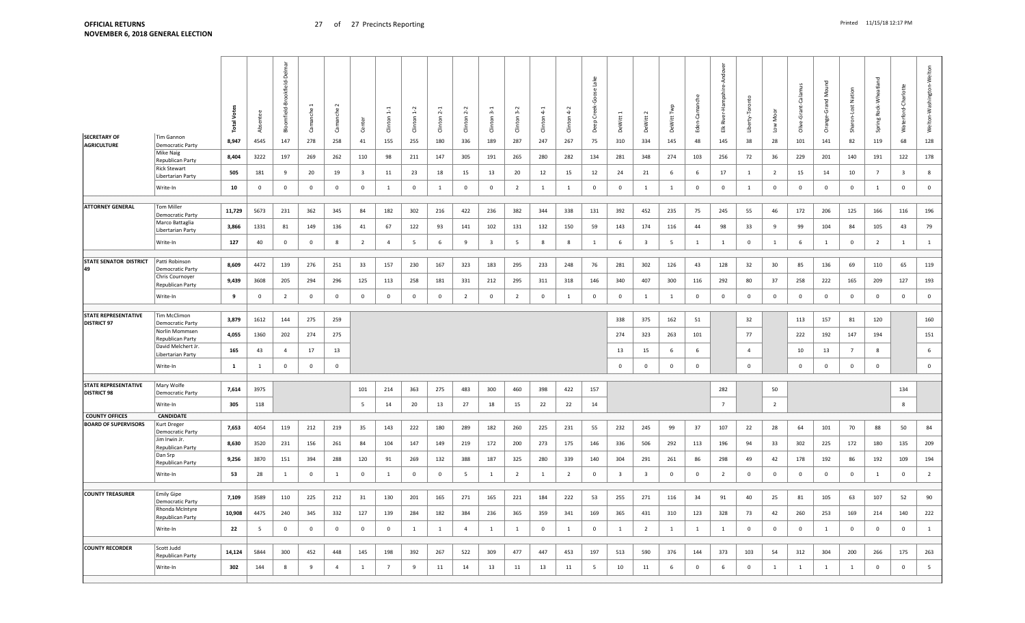|                                                   |                                          | ٶ<br>Total <sup>1</sup> | ä           | Delm<br>okfield-<br>후<br>field-<br>훕 | che<br>ී    | manche<br>ී    | පි                      | 등<br>dirt       | ā<br>Clint   | $\sim$<br>Clinton | Ņ<br>Clinton   | ന്<br>$\epsilon$<br>Cint | $3-2$<br>Clinton | Clinton      | $4-2$<br>Clinton | -ake<br>Greet<br>Deep | DeWitt                  | DeWitt 2                | DeWitt         | ී<br>Eder      | ă<br>Ŧ<br>River<br>盖 | rty-Tor<br>훀   | Moor<br>Low    | Cala<br>Ğ<br>olive | š<br>ত<br>Ğ<br>ŏ | Nation<br>Lost<br>ġ<br>Shai | Rock-Wheatland<br>Spring | Waterford-Charlotte     | Welton-Washington-Welton |
|---------------------------------------------------|------------------------------------------|-------------------------|-------------|--------------------------------------|-------------|----------------|-------------------------|-----------------|--------------|-------------------|----------------|--------------------------|------------------|--------------|------------------|-----------------------|-------------------------|-------------------------|----------------|----------------|----------------------|----------------|----------------|--------------------|------------------|-----------------------------|--------------------------|-------------------------|--------------------------|
| <b>SECRETARY OF</b><br><b>AGRICULTURE</b>         | Tim Gannon<br>Democratic Party           | 8,947                   | 4545        | 147                                  | 278         | 258            | 41                      | 155             | 255          | 180               | 336            | 189                      | 287              | 247          | 267              | 75                    | 310                     | 334                     | 145            | 48             | 145                  | 38             | 28             | 101                | 141              | 82                          | 119                      | 68                      | 128                      |
|                                                   | <b>Mike Naig</b><br>Republican Party     | 8,404                   | 3222        | 197                                  | 269         | 262            | 110                     | 98              | 211          | 147               | 305            | 191                      | 265              | 280          | 282              | 134                   | 281                     | 348                     | 274            | 103            | 256                  | 72             | 36             | 229                | 201              | 140                         | 191                      | 122                     | 178                      |
|                                                   | <b>Rick Stewart</b><br>Libertarian Party | 505                     | 181         | 9                                    | 20          | 19             | $\overline{\mathbf{3}}$ | 11              | 23           | 18                | 15             | 13                       | 20               | 12           | 15               | 12                    | 24                      | 21                      | 6              | -6             | 17                   | 1              | $\overline{2}$ | 15                 | 14               | 10                          | $\overline{7}$           | $\overline{\mathbf{3}}$ | 8                        |
|                                                   | Write-In                                 | 10                      | $\mathbf 0$ | $\Omega$                             | $\mathbf 0$ | $\mathbf 0$    | $\mathbf 0$             | $\mathbf{1}$    | $\mathbf 0$  | $\mathbf{1}$      | $\Omega$       | $\Omega$                 | $\overline{2}$   | $\mathbf{1}$ | <sup>1</sup>     | $\mathbf 0$           | $\mathbf 0$             | $\overline{1}$          | $\overline{1}$ | $\mathbf{0}$   | $\mathbf 0$          | $\overline{1}$ | $\mathbf 0$    | $\mathbf 0$        | $\mathbf 0$      | $\mathbf 0$                 | $\overline{1}$           | $\overline{0}$          | $\mathbf 0$              |
|                                                   |                                          |                         |             |                                      |             |                |                         |                 |              |                   |                |                          |                  |              |                  |                       |                         |                         |                |                |                      |                |                |                    |                  |                             |                          |                         |                          |
| <b>ATTORNEY GENERAL</b>                           | Tom Miller<br>Democratic Party           | 11,729                  | 5673        | 231                                  | 362         | 345            | 84                      | 182             | 302          | 216               | 422            | 236                      | 382              | 344          | 338              | 131                   | 392                     | 452                     | 235            | 75             | 245                  | 55             | 46             | 172                | 206              | 125                         | 166                      | 116                     | 196                      |
|                                                   | Marco Battaglia<br>Libertarian Party     | 3,866                   | 1331        | 81                                   | 149         | 136            | 41                      | 67              | 122          | 93                | 141            | 102                      | 131              | 132          | 150              | 59                    | 143                     | 174                     | 116            | 44             | 98                   | 33             | 9              | 99                 | 104              | 84                          | 105                      | 43                      | 79                       |
|                                                   | Write-In                                 | 127                     | 40          | $\mathbf{0}$                         | $\mathbf 0$ | 8              | $\overline{2}$          | $\overline{4}$  | 5            | 6                 | 9              | $\overline{3}$           | 5                | 8            | 8                | 1                     | 6                       | $\overline{3}$          | 5              | 1              | 1                    | $\mathbf 0$    | $\mathbf{1}$   | 6                  | $\mathbf{1}$     | $\mathbf 0$                 | $\overline{2}$           | $\overline{1}$          | $1\,$                    |
|                                                   |                                          |                         |             |                                      |             |                |                         |                 |              |                   |                |                          |                  |              |                  |                       |                         |                         |                |                |                      |                |                |                    |                  |                             |                          |                         |                          |
| <b>STATE SENATOR DISTRICT</b><br>49               | Patti Robinson<br>Democratic Party       | 8,609                   | 4472        | 139                                  | 276         | 251            | 33                      | 157             | 230          | 167               | 323            | 183                      | 295              | 233          | 248              | 76                    | 281                     | 302                     | 126            | 43             | 128                  | 32             | 30             | 85                 | 136              | 69                          | 110                      | 65                      | 119                      |
|                                                   | Chris Cournoyer<br>Republican Party      | 9,439                   | 3608        | 205                                  | 294         | 296            | 125                     | 113             | 258          | 181               | 331            | 212                      | 295              | 311          | 318              | 146                   | 340                     | 407                     | 300            | 116            | 292                  | 80             | 37             | 258                | 222              | 165                         | 209                      | 127                     | 193                      |
|                                                   | Write-In                                 | 9                       | $\Omega$    | $\overline{2}$                       | $\mathbf 0$ | $\pmb{0}$      | $\mathbf 0$             | 0               | 0            | $\mathbf 0$       | $\overline{2}$ | $\mathbf 0$              | $\overline{2}$   | $\mathbf 0$  | 1                | $\mathbf 0$           | $\overline{0}$          | 1                       | $\mathbf{1}$   | $\overline{0}$ | $\Omega$             | $\mathbf 0$    | $\mathbf 0$    | $\mathbf 0$        | $\mathbf{0}$     | $\mathbf 0$                 | $\mathbf 0$              | $\mathbf 0$             | $\mathbf 0$              |
| <b>STATE REPRESENTATIVE</b>                       | Tim McClimon                             |                         |             |                                      |             |                |                         |                 |              |                   |                |                          |                  |              |                  |                       |                         |                         |                |                |                      |                |                |                    |                  |                             |                          |                         |                          |
| <b>DISTRICT 97</b>                                | Democratic Party<br>Norlin Mommsen       | 3,879                   | 1612        | 144                                  | 275         | 259            |                         |                 |              |                   |                |                          |                  |              |                  |                       | 338                     | 375                     | 162            | 51             |                      | 32             |                | 113                | 157              | 81                          | 120                      |                         | 160                      |
|                                                   | Republican Party<br>David Melchert Jr.   | 4,055                   | 1360        | 202                                  | 274         | 275            |                         |                 |              |                   |                |                          |                  |              |                  |                       | 274                     | 323                     | 263            | 101            |                      | 77             |                | 222                | 192              | 147                         | 194                      |                         | 151                      |
|                                                   | Libertarian Party                        | 165                     | 43          | $\overline{4}$                       | 17          | 13             |                         |                 |              |                   |                |                          |                  |              |                  |                       | 13                      | 15                      | - 6            | -6             |                      | $\overline{4}$ |                | 10                 | 13               | $\overline{7}$              | 8                        |                         | 6                        |
|                                                   | Write-In                                 | $\mathbf{1}$            | 1           | $\Omega$                             | $\mathbf 0$ | $\mathbf 0$    |                         |                 |              |                   |                |                          |                  |              |                  |                       | $\overline{0}$          | $\Omega$                | $\Omega$       | $\Omega$       |                      | $\overline{0}$ |                | $\mathbf 0$        | $\overline{0}$   | $\mathbf 0$                 | $\mathbf 0$              |                         | $\mathsf 0$              |
|                                                   |                                          |                         |             |                                      |             |                |                         |                 |              |                   |                |                          |                  |              |                  |                       |                         |                         |                |                |                      |                |                |                    |                  |                             |                          |                         |                          |
| <b>STATE REPRESENTATIVE</b><br><b>DISTRICT 98</b> | Mary Wolfe<br><b>Democratic Party</b>    | 7,614                   | 3975        |                                      |             |                | 101                     | 214             | 363          | 275               | 483            | 300                      | 460              | 398          | 422              | 157                   |                         |                         |                |                | 282                  |                | 50             |                    |                  |                             |                          | 134                     |                          |
|                                                   | Write-In                                 | 305                     | 118         |                                      |             |                | $5\overline{5}$         | 14              | 20           | 13                | 27             | 18                       | 15               | 22           | 22               | 14                    |                         |                         |                |                | $\overline{7}$       |                | $\overline{2}$ |                    |                  |                             |                          | $8\phantom{.0}$         |                          |
| <b>COUNTY OFFICES</b>                             | <b>CANDIDATE</b>                         |                         |             |                                      |             |                |                         |                 |              |                   |                |                          |                  |              |                  |                       |                         |                         |                |                |                      |                |                |                    |                  |                             |                          |                         |                          |
| <b>BOARD OF SUPERVISORS</b>                       | Kurt Drege<br><b>Democratic Party</b>    | 7,653                   | 4054        | 119                                  | 212         | 219            | 35                      | 143             | 222          | 180               | 289            | 182                      | 260              | 225          | 231              | 55                    | 232                     | 245                     | 99             | 37             | 107                  | 22             | 28             | 64                 | 101              | 70                          | 88                       | 50                      | 84                       |
|                                                   | Jim Irwin Jr<br>Republican Party         | 8,630                   | 3520        | 231                                  | 156         | 261            | 84                      | 104             | 147          | 149               | 219            | 172                      | 200              | 273          | 175              | 146                   | 336                     | 506                     | 292            | 113            | 196                  | 94             | 33             | 302                | 225              | 172                         | 180                      | 135                     | 209                      |
|                                                   | Dan Srp<br>Republican Party              | 9,256                   | 3870        | 151                                  | 394         | 288            | 120                     | 91              | 269          | 132               | 388            | 187                      | 325              | 280          | 339              | 140                   | 304                     | 291                     | 261            | 86             | 298                  | 49             | 42             | 178                | 192              | 86                          | 192                      | 109                     | 194                      |
|                                                   | Write-In                                 | 53                      | 28          | 1                                    | $\mathbf 0$ | $\mathbf{1}$   | $\mathbf 0$             | 1               | 0            | $\mathbf 0$       | 5              | 1                        | $\overline{2}$   | $1\,$        | $\overline{2}$   | $\mathbf 0$           | $\overline{\mathbf{3}}$ | $\overline{\mathbf{3}}$ | $\overline{0}$ | $\Omega$       | $\overline{2}$       | $\mathbf 0$    | $\mathbf 0$    | $\mathbf 0$        | $\mathbf{0}$     | $\mathbf 0$                 | <sup>1</sup>             | $\mathbf 0$             | $\overline{2}$           |
| <b>COUNTY TREASURER</b>                           | <b>Emily Gipe</b>                        |                         |             |                                      |             |                |                         |                 |              |                   |                |                          |                  |              |                  |                       |                         |                         |                |                |                      |                |                |                    |                  |                             |                          |                         |                          |
|                                                   | Democratic Party                         | 7,109                   | 3589        | 110                                  | 225         | 212            | 31                      | 130             | 201          | 165               | 271            | 165                      | 221              | 184          | 222              | 53                    | 255                     | 271                     | 116            | 34             | 91                   | 40             | 25             | 81                 | 105              | 63                          | 107                      | 52                      | 90                       |
|                                                   | Rhonda McIntyre<br>Republican Party      | 10,908                  | 4475        | 240                                  | 345         | 332            | 127                     | 139             | 284          | 182               | 384            | 236                      | 365              | 359          | 341              | 169                   | 365                     | 431                     | 310            | 123            | 328                  | 73             | 42             | 260                | 253              | 169                         | 214                      | 140                     | 222                      |
|                                                   | Write-In                                 | 22                      | 5           | 0                                    | $\mathbf 0$ | $\mathbf 0$    | $\pmb{0}$               | $\mathbf 0$     | $\mathbf{1}$ | $\mathbf{1}$      | $\overline{4}$ | $\mathbf{1}$             | $\mathbf{1}$     | $\mathbf 0$  | $\mathbf{1}$     | $\mathbf 0$           | 1                       | $\overline{2}$          | $\overline{1}$ | 1              | $\mathbf{1}$         | $\mathbf 0$    | $\mathbf 0$    | $\mathbf 0$        | $\mathbf{1}$     | $\mathbf 0$                 | $\mathbf 0$              | $\mathbf 0$             | 1                        |
| <b>COUNTY RECORDER</b>                            | Scott Judd                               |                         |             |                                      |             |                |                         |                 |              |                   |                |                          |                  |              |                  |                       |                         |                         |                |                |                      |                |                |                    |                  |                             |                          |                         |                          |
|                                                   | Republican Party                         | 14,124                  | 5844        | 300                                  | 452         | 448            | 145                     | 198             | 392          | 267               | 522            | 309                      | 477              | 447          | 453              | 197                   | 513                     | 590                     | 376            | 144            | 373                  | 103            | 54             | 312                | 304              | 200                         | 266                      | 175                     | 263                      |
|                                                   | Write-In                                 | 302                     | 144         | 8                                    | 9           | $\overline{4}$ | 1                       | $7\overline{ }$ | 9            | 11                | 14             | 13                       | 11               | 13           | 11               | 5                     | 10                      | 11                      | 6              | $\overline{0}$ | 6                    | $\mathbf 0$    | $\mathbf{1}$   | $\mathbf{1}$       | $\mathbf{1}$     | $\mathbf{1}$                | $\overline{0}$           | $\mathbf 0$             | $5\overline{ }$          |
|                                                   |                                          |                         |             |                                      |             |                |                         |                 |              |                   |                |                          |                  |              |                  |                       |                         |                         |                |                |                      |                |                |                    |                  |                             |                          |                         |                          |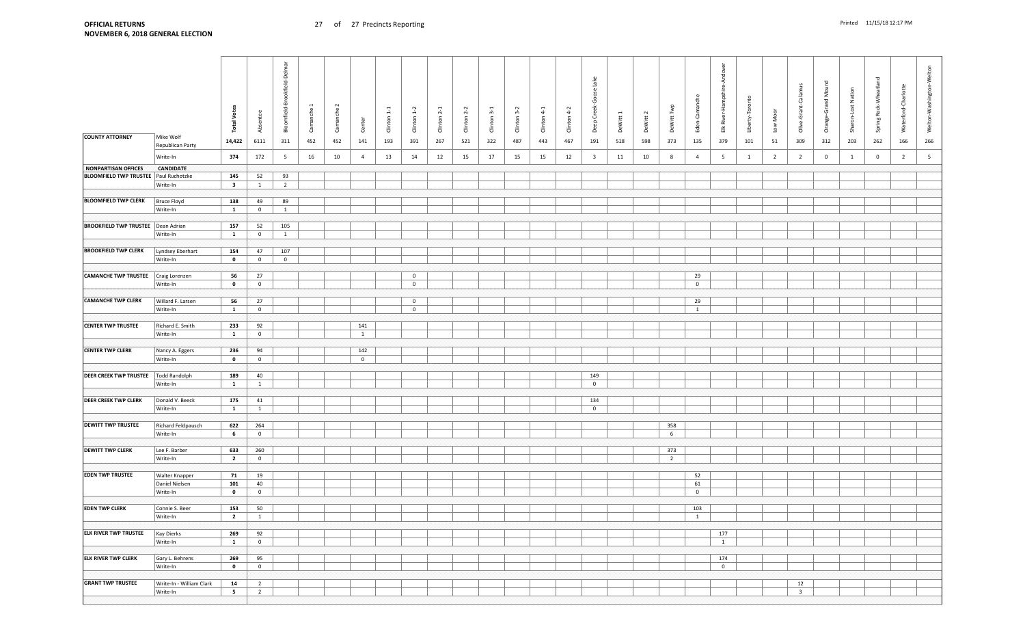| Camanche 2<br>DeWitt Twp<br><b>Total Votes</b><br>$Climon 1-2$<br>Clinton <sub>2-2</sub><br>Clinton 4-2<br>Clinton <sub>1-1</sub><br>Clinton <sub>2-1</sub><br>Clinton 3-2<br>$Climon 4-1$<br>Camanche<br>Low Moor<br>Clinton 3-1<br>Absentee<br>DeWitt 1<br>DeWitt 2<br>Sharon-<br>Center<br><b>COUNTY ATTORNEY</b><br>Mike Wolf<br>266<br>14,422<br>6111<br>452<br>452<br>141<br>267<br>521<br>322<br>443<br>467<br>191<br>373<br>135<br>51<br>309<br>312<br>262<br>166<br>311<br>193<br>391<br>487<br>518<br>598<br>379<br>101<br>203<br>Republican Party<br>Write-In<br>374<br>172<br>16<br>10<br>$\overline{4}$<br>13<br>12<br>15<br>17<br>15<br>12<br>$\overline{\mathbf{3}}$<br>10<br>8<br>$\overline{4}$<br>5<br>$\overline{2}$<br>$\overline{2}$<br>$\overline{\mathbf{0}}$<br>$\overline{0}$<br>$\overline{2}$<br>$5\overline{5}$<br>5<br>14<br>15<br>11<br>$\overline{1}$<br><sup>1</sup><br>CANDIDATE<br>BLOOMFIELD TWP TRUSTEE   Paul Ruchotzke<br>145<br>52<br>93<br>Write-In<br>$\overline{\mathbf{3}}$<br>$\overline{2}$<br>$\mathbf{1}$<br><b>BLOOMFIELD TWP CLERK</b><br>89<br><b>Bruce Floyd</b><br>138<br>49<br>Write-In<br>$\mathbf{1}$<br>$\mathbf{0}$<br>1<br><b>BROOKFIELD TWP TRUSTEE</b> Dean Adrian<br>157<br>52<br>105<br>Write-In<br>$\mathbf{1}$<br>$\overline{0}$<br>$\mathbf{1}$<br><b>BROOKFIELD TWP CLERK</b><br>154<br>107<br>Lyndsey Eberhart<br>47<br>$\mathbf{0}$<br>Write-In<br>$\mathbf{0}$<br>$\overline{0}$<br><b>CAMANCHE TWP TRUSTEE</b> Craig Lorenzen<br>27<br>29<br>56<br>$\overline{0}$<br>Write-In<br>$\mathbf{0}$<br>$\overline{0}$<br>$\mathbf 0$<br>$\mathbf 0$<br><b>CAMANCHE TWP CLERK</b><br>Willard F. Larsen<br>56<br>27<br>29<br>$\overline{0}$<br>Write-In<br>$\mathbf{1}$<br>$\overline{0}$<br>$\overline{0}$<br>1<br><b>CENTER TWP TRUSTEE</b><br>233<br>Richard E. Smith<br>92<br>141<br>Write-In<br>$\mathbf{1}$<br>$\overline{0}$<br><sup>1</sup><br><b>CENTER TWP CLERK</b><br>142<br>236<br>94<br>Nancy A. Eggers<br>Write-In<br>$\mathbf{0}$<br>$\overline{0}$<br>$\overline{0}$<br><b>DEER CREEK TWP TRUSTEE</b><br>189<br>149<br>Todd Randolph<br>40<br>Write-In<br>$\mathbf{1}$<br>$\mathbf{0}$<br>$\mathbf{1}$<br>175<br>134<br>Donald V. Beeck<br>41<br>$\mathbf{1}$<br>$\mathbf 0$<br>Write-In<br>$\mathbf{1}$<br><b>DEWITT TWP TRUSTEE</b><br>358<br>Richard Feldpausch<br>622<br>264<br>6<br>Write-In<br>6<br>$\overline{0}$<br>633<br>Lee F. Barber<br>260<br>373<br>$\overline{2}$<br>Write-In<br>$\overline{\mathbf{2}}$<br>$\overline{0}$<br>52<br><b>EDEN TWP TRUSTEE</b><br>71<br>19<br><b>Walter Knapper</b><br>61<br>Daniel Nielsen<br>101<br>40<br>Write-In<br>$\mathbf{0}$<br>$\mathbf{0}$<br>$\overline{0}$<br><b>EDEN TWP CLERK</b><br>153<br>50<br>103<br>Connie S. Beer<br>Write-In<br>$\overline{\mathbf{2}}$<br>$\overline{1}$<br>$\overline{1}$<br><b>ELK RIVER TWP TRUSTEE</b><br>Kay Dierks<br>269<br>92<br>177<br>Write-In<br>$\mathbf{1}$<br>$\overline{0}$<br>$\overline{1}$<br>174<br>Gary L. Behrens<br>269<br>95<br>Write-In<br>$\mathbf{0}$<br>$\mathbf{0}$<br>$\mathbf 0$<br><b>GRANT TWP TRUSTEE</b><br>Write-In - William Clark<br>12<br>14<br>$\overline{2}$<br>Write-In<br>$5^{\circ}$<br>$\overline{2}$<br>$\overline{\mathbf{3}}$ |                             |  | Bloomfield-Brookfield-Delmar |  |  |  |  |  | Deep Creek-Goose Lake |  | Eden-Camanche | Andover<br>Elk River-Hampshire | Liberty-Toronto | ്ട<br>Olive-Grant-Calam | 2<br>Orange-Grand Mc | Nation<br>Lost | Spring Rock-Wheatland | Waterford-Charlotte | Welton-Washington-Welton |
|-----------------------------------------------------------------------------------------------------------------------------------------------------------------------------------------------------------------------------------------------------------------------------------------------------------------------------------------------------------------------------------------------------------------------------------------------------------------------------------------------------------------------------------------------------------------------------------------------------------------------------------------------------------------------------------------------------------------------------------------------------------------------------------------------------------------------------------------------------------------------------------------------------------------------------------------------------------------------------------------------------------------------------------------------------------------------------------------------------------------------------------------------------------------------------------------------------------------------------------------------------------------------------------------------------------------------------------------------------------------------------------------------------------------------------------------------------------------------------------------------------------------------------------------------------------------------------------------------------------------------------------------------------------------------------------------------------------------------------------------------------------------------------------------------------------------------------------------------------------------------------------------------------------------------------------------------------------------------------------------------------------------------------------------------------------------------------------------------------------------------------------------------------------------------------------------------------------------------------------------------------------------------------------------------------------------------------------------------------------------------------------------------------------------------------------------------------------------------------------------------------------------------------------------------------------------------------------------------------------------------------------------------------------------------------------------------------------------------------------------------------------------------------------------------------------------------------------------------------------------------------------------------------------------------------------------------------------------------------------------------------------------------------------------------------------------------------------------------------------------------------------------------------------------------------------------------------------------------------------------------|-----------------------------|--|------------------------------|--|--|--|--|--|-----------------------|--|---------------|--------------------------------|-----------------|-------------------------|----------------------|----------------|-----------------------|---------------------|--------------------------|
|                                                                                                                                                                                                                                                                                                                                                                                                                                                                                                                                                                                                                                                                                                                                                                                                                                                                                                                                                                                                                                                                                                                                                                                                                                                                                                                                                                                                                                                                                                                                                                                                                                                                                                                                                                                                                                                                                                                                                                                                                                                                                                                                                                                                                                                                                                                                                                                                                                                                                                                                                                                                                                                                                                                                                                                                                                                                                                                                                                                                                                                                                                                                                                                                                                               |                             |  |                              |  |  |  |  |  |                       |  |               |                                |                 |                         |                      |                |                       |                     |                          |
|                                                                                                                                                                                                                                                                                                                                                                                                                                                                                                                                                                                                                                                                                                                                                                                                                                                                                                                                                                                                                                                                                                                                                                                                                                                                                                                                                                                                                                                                                                                                                                                                                                                                                                                                                                                                                                                                                                                                                                                                                                                                                                                                                                                                                                                                                                                                                                                                                                                                                                                                                                                                                                                                                                                                                                                                                                                                                                                                                                                                                                                                                                                                                                                                                                               |                             |  |                              |  |  |  |  |  |                       |  |               |                                |                 |                         |                      |                |                       |                     |                          |
|                                                                                                                                                                                                                                                                                                                                                                                                                                                                                                                                                                                                                                                                                                                                                                                                                                                                                                                                                                                                                                                                                                                                                                                                                                                                                                                                                                                                                                                                                                                                                                                                                                                                                                                                                                                                                                                                                                                                                                                                                                                                                                                                                                                                                                                                                                                                                                                                                                                                                                                                                                                                                                                                                                                                                                                                                                                                                                                                                                                                                                                                                                                                                                                                                                               |                             |  |                              |  |  |  |  |  |                       |  |               |                                |                 |                         |                      |                |                       |                     |                          |
|                                                                                                                                                                                                                                                                                                                                                                                                                                                                                                                                                                                                                                                                                                                                                                                                                                                                                                                                                                                                                                                                                                                                                                                                                                                                                                                                                                                                                                                                                                                                                                                                                                                                                                                                                                                                                                                                                                                                                                                                                                                                                                                                                                                                                                                                                                                                                                                                                                                                                                                                                                                                                                                                                                                                                                                                                                                                                                                                                                                                                                                                                                                                                                                                                                               |                             |  |                              |  |  |  |  |  |                       |  |               |                                |                 |                         |                      |                |                       |                     |                          |
|                                                                                                                                                                                                                                                                                                                                                                                                                                                                                                                                                                                                                                                                                                                                                                                                                                                                                                                                                                                                                                                                                                                                                                                                                                                                                                                                                                                                                                                                                                                                                                                                                                                                                                                                                                                                                                                                                                                                                                                                                                                                                                                                                                                                                                                                                                                                                                                                                                                                                                                                                                                                                                                                                                                                                                                                                                                                                                                                                                                                                                                                                                                                                                                                                                               | NONPARTISAN OFFICES         |  |                              |  |  |  |  |  |                       |  |               |                                |                 |                         |                      |                |                       |                     |                          |
|                                                                                                                                                                                                                                                                                                                                                                                                                                                                                                                                                                                                                                                                                                                                                                                                                                                                                                                                                                                                                                                                                                                                                                                                                                                                                                                                                                                                                                                                                                                                                                                                                                                                                                                                                                                                                                                                                                                                                                                                                                                                                                                                                                                                                                                                                                                                                                                                                                                                                                                                                                                                                                                                                                                                                                                                                                                                                                                                                                                                                                                                                                                                                                                                                                               |                             |  |                              |  |  |  |  |  |                       |  |               |                                |                 |                         |                      |                |                       |                     |                          |
|                                                                                                                                                                                                                                                                                                                                                                                                                                                                                                                                                                                                                                                                                                                                                                                                                                                                                                                                                                                                                                                                                                                                                                                                                                                                                                                                                                                                                                                                                                                                                                                                                                                                                                                                                                                                                                                                                                                                                                                                                                                                                                                                                                                                                                                                                                                                                                                                                                                                                                                                                                                                                                                                                                                                                                                                                                                                                                                                                                                                                                                                                                                                                                                                                                               |                             |  |                              |  |  |  |  |  |                       |  |               |                                |                 |                         |                      |                |                       |                     |                          |
|                                                                                                                                                                                                                                                                                                                                                                                                                                                                                                                                                                                                                                                                                                                                                                                                                                                                                                                                                                                                                                                                                                                                                                                                                                                                                                                                                                                                                                                                                                                                                                                                                                                                                                                                                                                                                                                                                                                                                                                                                                                                                                                                                                                                                                                                                                                                                                                                                                                                                                                                                                                                                                                                                                                                                                                                                                                                                                                                                                                                                                                                                                                                                                                                                                               |                             |  |                              |  |  |  |  |  |                       |  |               |                                |                 |                         |                      |                |                       |                     |                          |
|                                                                                                                                                                                                                                                                                                                                                                                                                                                                                                                                                                                                                                                                                                                                                                                                                                                                                                                                                                                                                                                                                                                                                                                                                                                                                                                                                                                                                                                                                                                                                                                                                                                                                                                                                                                                                                                                                                                                                                                                                                                                                                                                                                                                                                                                                                                                                                                                                                                                                                                                                                                                                                                                                                                                                                                                                                                                                                                                                                                                                                                                                                                                                                                                                                               |                             |  |                              |  |  |  |  |  |                       |  |               |                                |                 |                         |                      |                |                       |                     |                          |
|                                                                                                                                                                                                                                                                                                                                                                                                                                                                                                                                                                                                                                                                                                                                                                                                                                                                                                                                                                                                                                                                                                                                                                                                                                                                                                                                                                                                                                                                                                                                                                                                                                                                                                                                                                                                                                                                                                                                                                                                                                                                                                                                                                                                                                                                                                                                                                                                                                                                                                                                                                                                                                                                                                                                                                                                                                                                                                                                                                                                                                                                                                                                                                                                                                               |                             |  |                              |  |  |  |  |  |                       |  |               |                                |                 |                         |                      |                |                       |                     |                          |
|                                                                                                                                                                                                                                                                                                                                                                                                                                                                                                                                                                                                                                                                                                                                                                                                                                                                                                                                                                                                                                                                                                                                                                                                                                                                                                                                                                                                                                                                                                                                                                                                                                                                                                                                                                                                                                                                                                                                                                                                                                                                                                                                                                                                                                                                                                                                                                                                                                                                                                                                                                                                                                                                                                                                                                                                                                                                                                                                                                                                                                                                                                                                                                                                                                               |                             |  |                              |  |  |  |  |  |                       |  |               |                                |                 |                         |                      |                |                       |                     |                          |
|                                                                                                                                                                                                                                                                                                                                                                                                                                                                                                                                                                                                                                                                                                                                                                                                                                                                                                                                                                                                                                                                                                                                                                                                                                                                                                                                                                                                                                                                                                                                                                                                                                                                                                                                                                                                                                                                                                                                                                                                                                                                                                                                                                                                                                                                                                                                                                                                                                                                                                                                                                                                                                                                                                                                                                                                                                                                                                                                                                                                                                                                                                                                                                                                                                               |                             |  |                              |  |  |  |  |  |                       |  |               |                                |                 |                         |                      |                |                       |                     |                          |
|                                                                                                                                                                                                                                                                                                                                                                                                                                                                                                                                                                                                                                                                                                                                                                                                                                                                                                                                                                                                                                                                                                                                                                                                                                                                                                                                                                                                                                                                                                                                                                                                                                                                                                                                                                                                                                                                                                                                                                                                                                                                                                                                                                                                                                                                                                                                                                                                                                                                                                                                                                                                                                                                                                                                                                                                                                                                                                                                                                                                                                                                                                                                                                                                                                               |                             |  |                              |  |  |  |  |  |                       |  |               |                                |                 |                         |                      |                |                       |                     |                          |
|                                                                                                                                                                                                                                                                                                                                                                                                                                                                                                                                                                                                                                                                                                                                                                                                                                                                                                                                                                                                                                                                                                                                                                                                                                                                                                                                                                                                                                                                                                                                                                                                                                                                                                                                                                                                                                                                                                                                                                                                                                                                                                                                                                                                                                                                                                                                                                                                                                                                                                                                                                                                                                                                                                                                                                                                                                                                                                                                                                                                                                                                                                                                                                                                                                               |                             |  |                              |  |  |  |  |  |                       |  |               |                                |                 |                         |                      |                |                       |                     |                          |
|                                                                                                                                                                                                                                                                                                                                                                                                                                                                                                                                                                                                                                                                                                                                                                                                                                                                                                                                                                                                                                                                                                                                                                                                                                                                                                                                                                                                                                                                                                                                                                                                                                                                                                                                                                                                                                                                                                                                                                                                                                                                                                                                                                                                                                                                                                                                                                                                                                                                                                                                                                                                                                                                                                                                                                                                                                                                                                                                                                                                                                                                                                                                                                                                                                               |                             |  |                              |  |  |  |  |  |                       |  |               |                                |                 |                         |                      |                |                       |                     |                          |
|                                                                                                                                                                                                                                                                                                                                                                                                                                                                                                                                                                                                                                                                                                                                                                                                                                                                                                                                                                                                                                                                                                                                                                                                                                                                                                                                                                                                                                                                                                                                                                                                                                                                                                                                                                                                                                                                                                                                                                                                                                                                                                                                                                                                                                                                                                                                                                                                                                                                                                                                                                                                                                                                                                                                                                                                                                                                                                                                                                                                                                                                                                                                                                                                                                               |                             |  |                              |  |  |  |  |  |                       |  |               |                                |                 |                         |                      |                |                       |                     |                          |
|                                                                                                                                                                                                                                                                                                                                                                                                                                                                                                                                                                                                                                                                                                                                                                                                                                                                                                                                                                                                                                                                                                                                                                                                                                                                                                                                                                                                                                                                                                                                                                                                                                                                                                                                                                                                                                                                                                                                                                                                                                                                                                                                                                                                                                                                                                                                                                                                                                                                                                                                                                                                                                                                                                                                                                                                                                                                                                                                                                                                                                                                                                                                                                                                                                               |                             |  |                              |  |  |  |  |  |                       |  |               |                                |                 |                         |                      |                |                       |                     |                          |
|                                                                                                                                                                                                                                                                                                                                                                                                                                                                                                                                                                                                                                                                                                                                                                                                                                                                                                                                                                                                                                                                                                                                                                                                                                                                                                                                                                                                                                                                                                                                                                                                                                                                                                                                                                                                                                                                                                                                                                                                                                                                                                                                                                                                                                                                                                                                                                                                                                                                                                                                                                                                                                                                                                                                                                                                                                                                                                                                                                                                                                                                                                                                                                                                                                               |                             |  |                              |  |  |  |  |  |                       |  |               |                                |                 |                         |                      |                |                       |                     |                          |
|                                                                                                                                                                                                                                                                                                                                                                                                                                                                                                                                                                                                                                                                                                                                                                                                                                                                                                                                                                                                                                                                                                                                                                                                                                                                                                                                                                                                                                                                                                                                                                                                                                                                                                                                                                                                                                                                                                                                                                                                                                                                                                                                                                                                                                                                                                                                                                                                                                                                                                                                                                                                                                                                                                                                                                                                                                                                                                                                                                                                                                                                                                                                                                                                                                               |                             |  |                              |  |  |  |  |  |                       |  |               |                                |                 |                         |                      |                |                       |                     |                          |
|                                                                                                                                                                                                                                                                                                                                                                                                                                                                                                                                                                                                                                                                                                                                                                                                                                                                                                                                                                                                                                                                                                                                                                                                                                                                                                                                                                                                                                                                                                                                                                                                                                                                                                                                                                                                                                                                                                                                                                                                                                                                                                                                                                                                                                                                                                                                                                                                                                                                                                                                                                                                                                                                                                                                                                                                                                                                                                                                                                                                                                                                                                                                                                                                                                               |                             |  |                              |  |  |  |  |  |                       |  |               |                                |                 |                         |                      |                |                       |                     |                          |
|                                                                                                                                                                                                                                                                                                                                                                                                                                                                                                                                                                                                                                                                                                                                                                                                                                                                                                                                                                                                                                                                                                                                                                                                                                                                                                                                                                                                                                                                                                                                                                                                                                                                                                                                                                                                                                                                                                                                                                                                                                                                                                                                                                                                                                                                                                                                                                                                                                                                                                                                                                                                                                                                                                                                                                                                                                                                                                                                                                                                                                                                                                                                                                                                                                               |                             |  |                              |  |  |  |  |  |                       |  |               |                                |                 |                         |                      |                |                       |                     |                          |
|                                                                                                                                                                                                                                                                                                                                                                                                                                                                                                                                                                                                                                                                                                                                                                                                                                                                                                                                                                                                                                                                                                                                                                                                                                                                                                                                                                                                                                                                                                                                                                                                                                                                                                                                                                                                                                                                                                                                                                                                                                                                                                                                                                                                                                                                                                                                                                                                                                                                                                                                                                                                                                                                                                                                                                                                                                                                                                                                                                                                                                                                                                                                                                                                                                               |                             |  |                              |  |  |  |  |  |                       |  |               |                                |                 |                         |                      |                |                       |                     |                          |
|                                                                                                                                                                                                                                                                                                                                                                                                                                                                                                                                                                                                                                                                                                                                                                                                                                                                                                                                                                                                                                                                                                                                                                                                                                                                                                                                                                                                                                                                                                                                                                                                                                                                                                                                                                                                                                                                                                                                                                                                                                                                                                                                                                                                                                                                                                                                                                                                                                                                                                                                                                                                                                                                                                                                                                                                                                                                                                                                                                                                                                                                                                                                                                                                                                               |                             |  |                              |  |  |  |  |  |                       |  |               |                                |                 |                         |                      |                |                       |                     |                          |
|                                                                                                                                                                                                                                                                                                                                                                                                                                                                                                                                                                                                                                                                                                                                                                                                                                                                                                                                                                                                                                                                                                                                                                                                                                                                                                                                                                                                                                                                                                                                                                                                                                                                                                                                                                                                                                                                                                                                                                                                                                                                                                                                                                                                                                                                                                                                                                                                                                                                                                                                                                                                                                                                                                                                                                                                                                                                                                                                                                                                                                                                                                                                                                                                                                               |                             |  |                              |  |  |  |  |  |                       |  |               |                                |                 |                         |                      |                |                       |                     |                          |
|                                                                                                                                                                                                                                                                                                                                                                                                                                                                                                                                                                                                                                                                                                                                                                                                                                                                                                                                                                                                                                                                                                                                                                                                                                                                                                                                                                                                                                                                                                                                                                                                                                                                                                                                                                                                                                                                                                                                                                                                                                                                                                                                                                                                                                                                                                                                                                                                                                                                                                                                                                                                                                                                                                                                                                                                                                                                                                                                                                                                                                                                                                                                                                                                                                               |                             |  |                              |  |  |  |  |  |                       |  |               |                                |                 |                         |                      |                |                       |                     |                          |
|                                                                                                                                                                                                                                                                                                                                                                                                                                                                                                                                                                                                                                                                                                                                                                                                                                                                                                                                                                                                                                                                                                                                                                                                                                                                                                                                                                                                                                                                                                                                                                                                                                                                                                                                                                                                                                                                                                                                                                                                                                                                                                                                                                                                                                                                                                                                                                                                                                                                                                                                                                                                                                                                                                                                                                                                                                                                                                                                                                                                                                                                                                                                                                                                                                               |                             |  |                              |  |  |  |  |  |                       |  |               |                                |                 |                         |                      |                |                       |                     |                          |
|                                                                                                                                                                                                                                                                                                                                                                                                                                                                                                                                                                                                                                                                                                                                                                                                                                                                                                                                                                                                                                                                                                                                                                                                                                                                                                                                                                                                                                                                                                                                                                                                                                                                                                                                                                                                                                                                                                                                                                                                                                                                                                                                                                                                                                                                                                                                                                                                                                                                                                                                                                                                                                                                                                                                                                                                                                                                                                                                                                                                                                                                                                                                                                                                                                               |                             |  |                              |  |  |  |  |  |                       |  |               |                                |                 |                         |                      |                |                       |                     |                          |
|                                                                                                                                                                                                                                                                                                                                                                                                                                                                                                                                                                                                                                                                                                                                                                                                                                                                                                                                                                                                                                                                                                                                                                                                                                                                                                                                                                                                                                                                                                                                                                                                                                                                                                                                                                                                                                                                                                                                                                                                                                                                                                                                                                                                                                                                                                                                                                                                                                                                                                                                                                                                                                                                                                                                                                                                                                                                                                                                                                                                                                                                                                                                                                                                                                               |                             |  |                              |  |  |  |  |  |                       |  |               |                                |                 |                         |                      |                |                       |                     |                          |
|                                                                                                                                                                                                                                                                                                                                                                                                                                                                                                                                                                                                                                                                                                                                                                                                                                                                                                                                                                                                                                                                                                                                                                                                                                                                                                                                                                                                                                                                                                                                                                                                                                                                                                                                                                                                                                                                                                                                                                                                                                                                                                                                                                                                                                                                                                                                                                                                                                                                                                                                                                                                                                                                                                                                                                                                                                                                                                                                                                                                                                                                                                                                                                                                                                               | <b>DEER CREEK TWP CLERK</b> |  |                              |  |  |  |  |  |                       |  |               |                                |                 |                         |                      |                |                       |                     |                          |
|                                                                                                                                                                                                                                                                                                                                                                                                                                                                                                                                                                                                                                                                                                                                                                                                                                                                                                                                                                                                                                                                                                                                                                                                                                                                                                                                                                                                                                                                                                                                                                                                                                                                                                                                                                                                                                                                                                                                                                                                                                                                                                                                                                                                                                                                                                                                                                                                                                                                                                                                                                                                                                                                                                                                                                                                                                                                                                                                                                                                                                                                                                                                                                                                                                               |                             |  |                              |  |  |  |  |  |                       |  |               |                                |                 |                         |                      |                |                       |                     |                          |
|                                                                                                                                                                                                                                                                                                                                                                                                                                                                                                                                                                                                                                                                                                                                                                                                                                                                                                                                                                                                                                                                                                                                                                                                                                                                                                                                                                                                                                                                                                                                                                                                                                                                                                                                                                                                                                                                                                                                                                                                                                                                                                                                                                                                                                                                                                                                                                                                                                                                                                                                                                                                                                                                                                                                                                                                                                                                                                                                                                                                                                                                                                                                                                                                                                               |                             |  |                              |  |  |  |  |  |                       |  |               |                                |                 |                         |                      |                |                       |                     |                          |
|                                                                                                                                                                                                                                                                                                                                                                                                                                                                                                                                                                                                                                                                                                                                                                                                                                                                                                                                                                                                                                                                                                                                                                                                                                                                                                                                                                                                                                                                                                                                                                                                                                                                                                                                                                                                                                                                                                                                                                                                                                                                                                                                                                                                                                                                                                                                                                                                                                                                                                                                                                                                                                                                                                                                                                                                                                                                                                                                                                                                                                                                                                                                                                                                                                               |                             |  |                              |  |  |  |  |  |                       |  |               |                                |                 |                         |                      |                |                       |                     |                          |
|                                                                                                                                                                                                                                                                                                                                                                                                                                                                                                                                                                                                                                                                                                                                                                                                                                                                                                                                                                                                                                                                                                                                                                                                                                                                                                                                                                                                                                                                                                                                                                                                                                                                                                                                                                                                                                                                                                                                                                                                                                                                                                                                                                                                                                                                                                                                                                                                                                                                                                                                                                                                                                                                                                                                                                                                                                                                                                                                                                                                                                                                                                                                                                                                                                               |                             |  |                              |  |  |  |  |  |                       |  |               |                                |                 |                         |                      |                |                       |                     |                          |
|                                                                                                                                                                                                                                                                                                                                                                                                                                                                                                                                                                                                                                                                                                                                                                                                                                                                                                                                                                                                                                                                                                                                                                                                                                                                                                                                                                                                                                                                                                                                                                                                                                                                                                                                                                                                                                                                                                                                                                                                                                                                                                                                                                                                                                                                                                                                                                                                                                                                                                                                                                                                                                                                                                                                                                                                                                                                                                                                                                                                                                                                                                                                                                                                                                               | <b>DEWITT TWP CLERK</b>     |  |                              |  |  |  |  |  |                       |  |               |                                |                 |                         |                      |                |                       |                     |                          |
|                                                                                                                                                                                                                                                                                                                                                                                                                                                                                                                                                                                                                                                                                                                                                                                                                                                                                                                                                                                                                                                                                                                                                                                                                                                                                                                                                                                                                                                                                                                                                                                                                                                                                                                                                                                                                                                                                                                                                                                                                                                                                                                                                                                                                                                                                                                                                                                                                                                                                                                                                                                                                                                                                                                                                                                                                                                                                                                                                                                                                                                                                                                                                                                                                                               |                             |  |                              |  |  |  |  |  |                       |  |               |                                |                 |                         |                      |                |                       |                     |                          |
|                                                                                                                                                                                                                                                                                                                                                                                                                                                                                                                                                                                                                                                                                                                                                                                                                                                                                                                                                                                                                                                                                                                                                                                                                                                                                                                                                                                                                                                                                                                                                                                                                                                                                                                                                                                                                                                                                                                                                                                                                                                                                                                                                                                                                                                                                                                                                                                                                                                                                                                                                                                                                                                                                                                                                                                                                                                                                                                                                                                                                                                                                                                                                                                                                                               |                             |  |                              |  |  |  |  |  |                       |  |               |                                |                 |                         |                      |                |                       |                     |                          |
|                                                                                                                                                                                                                                                                                                                                                                                                                                                                                                                                                                                                                                                                                                                                                                                                                                                                                                                                                                                                                                                                                                                                                                                                                                                                                                                                                                                                                                                                                                                                                                                                                                                                                                                                                                                                                                                                                                                                                                                                                                                                                                                                                                                                                                                                                                                                                                                                                                                                                                                                                                                                                                                                                                                                                                                                                                                                                                                                                                                                                                                                                                                                                                                                                                               |                             |  |                              |  |  |  |  |  |                       |  |               |                                |                 |                         |                      |                |                       |                     |                          |
|                                                                                                                                                                                                                                                                                                                                                                                                                                                                                                                                                                                                                                                                                                                                                                                                                                                                                                                                                                                                                                                                                                                                                                                                                                                                                                                                                                                                                                                                                                                                                                                                                                                                                                                                                                                                                                                                                                                                                                                                                                                                                                                                                                                                                                                                                                                                                                                                                                                                                                                                                                                                                                                                                                                                                                                                                                                                                                                                                                                                                                                                                                                                                                                                                                               |                             |  |                              |  |  |  |  |  |                       |  |               |                                |                 |                         |                      |                |                       |                     |                          |
|                                                                                                                                                                                                                                                                                                                                                                                                                                                                                                                                                                                                                                                                                                                                                                                                                                                                                                                                                                                                                                                                                                                                                                                                                                                                                                                                                                                                                                                                                                                                                                                                                                                                                                                                                                                                                                                                                                                                                                                                                                                                                                                                                                                                                                                                                                                                                                                                                                                                                                                                                                                                                                                                                                                                                                                                                                                                                                                                                                                                                                                                                                                                                                                                                                               |                             |  |                              |  |  |  |  |  |                       |  |               |                                |                 |                         |                      |                |                       |                     |                          |
|                                                                                                                                                                                                                                                                                                                                                                                                                                                                                                                                                                                                                                                                                                                                                                                                                                                                                                                                                                                                                                                                                                                                                                                                                                                                                                                                                                                                                                                                                                                                                                                                                                                                                                                                                                                                                                                                                                                                                                                                                                                                                                                                                                                                                                                                                                                                                                                                                                                                                                                                                                                                                                                                                                                                                                                                                                                                                                                                                                                                                                                                                                                                                                                                                                               |                             |  |                              |  |  |  |  |  |                       |  |               |                                |                 |                         |                      |                |                       |                     |                          |
|                                                                                                                                                                                                                                                                                                                                                                                                                                                                                                                                                                                                                                                                                                                                                                                                                                                                                                                                                                                                                                                                                                                                                                                                                                                                                                                                                                                                                                                                                                                                                                                                                                                                                                                                                                                                                                                                                                                                                                                                                                                                                                                                                                                                                                                                                                                                                                                                                                                                                                                                                                                                                                                                                                                                                                                                                                                                                                                                                                                                                                                                                                                                                                                                                                               |                             |  |                              |  |  |  |  |  |                       |  |               |                                |                 |                         |                      |                |                       |                     |                          |
|                                                                                                                                                                                                                                                                                                                                                                                                                                                                                                                                                                                                                                                                                                                                                                                                                                                                                                                                                                                                                                                                                                                                                                                                                                                                                                                                                                                                                                                                                                                                                                                                                                                                                                                                                                                                                                                                                                                                                                                                                                                                                                                                                                                                                                                                                                                                                                                                                                                                                                                                                                                                                                                                                                                                                                                                                                                                                                                                                                                                                                                                                                                                                                                                                                               |                             |  |                              |  |  |  |  |  |                       |  |               |                                |                 |                         |                      |                |                       |                     |                          |
|                                                                                                                                                                                                                                                                                                                                                                                                                                                                                                                                                                                                                                                                                                                                                                                                                                                                                                                                                                                                                                                                                                                                                                                                                                                                                                                                                                                                                                                                                                                                                                                                                                                                                                                                                                                                                                                                                                                                                                                                                                                                                                                                                                                                                                                                                                                                                                                                                                                                                                                                                                                                                                                                                                                                                                                                                                                                                                                                                                                                                                                                                                                                                                                                                                               |                             |  |                              |  |  |  |  |  |                       |  |               |                                |                 |                         |                      |                |                       |                     |                          |
|                                                                                                                                                                                                                                                                                                                                                                                                                                                                                                                                                                                                                                                                                                                                                                                                                                                                                                                                                                                                                                                                                                                                                                                                                                                                                                                                                                                                                                                                                                                                                                                                                                                                                                                                                                                                                                                                                                                                                                                                                                                                                                                                                                                                                                                                                                                                                                                                                                                                                                                                                                                                                                                                                                                                                                                                                                                                                                                                                                                                                                                                                                                                                                                                                                               |                             |  |                              |  |  |  |  |  |                       |  |               |                                |                 |                         |                      |                |                       |                     |                          |
|                                                                                                                                                                                                                                                                                                                                                                                                                                                                                                                                                                                                                                                                                                                                                                                                                                                                                                                                                                                                                                                                                                                                                                                                                                                                                                                                                                                                                                                                                                                                                                                                                                                                                                                                                                                                                                                                                                                                                                                                                                                                                                                                                                                                                                                                                                                                                                                                                                                                                                                                                                                                                                                                                                                                                                                                                                                                                                                                                                                                                                                                                                                                                                                                                                               | <b>ELK RIVER TWP CLERK</b>  |  |                              |  |  |  |  |  |                       |  |               |                                |                 |                         |                      |                |                       |                     |                          |
|                                                                                                                                                                                                                                                                                                                                                                                                                                                                                                                                                                                                                                                                                                                                                                                                                                                                                                                                                                                                                                                                                                                                                                                                                                                                                                                                                                                                                                                                                                                                                                                                                                                                                                                                                                                                                                                                                                                                                                                                                                                                                                                                                                                                                                                                                                                                                                                                                                                                                                                                                                                                                                                                                                                                                                                                                                                                                                                                                                                                                                                                                                                                                                                                                                               |                             |  |                              |  |  |  |  |  |                       |  |               |                                |                 |                         |                      |                |                       |                     |                          |
|                                                                                                                                                                                                                                                                                                                                                                                                                                                                                                                                                                                                                                                                                                                                                                                                                                                                                                                                                                                                                                                                                                                                                                                                                                                                                                                                                                                                                                                                                                                                                                                                                                                                                                                                                                                                                                                                                                                                                                                                                                                                                                                                                                                                                                                                                                                                                                                                                                                                                                                                                                                                                                                                                                                                                                                                                                                                                                                                                                                                                                                                                                                                                                                                                                               |                             |  |                              |  |  |  |  |  |                       |  |               |                                |                 |                         |                      |                |                       |                     |                          |
|                                                                                                                                                                                                                                                                                                                                                                                                                                                                                                                                                                                                                                                                                                                                                                                                                                                                                                                                                                                                                                                                                                                                                                                                                                                                                                                                                                                                                                                                                                                                                                                                                                                                                                                                                                                                                                                                                                                                                                                                                                                                                                                                                                                                                                                                                                                                                                                                                                                                                                                                                                                                                                                                                                                                                                                                                                                                                                                                                                                                                                                                                                                                                                                                                                               |                             |  |                              |  |  |  |  |  |                       |  |               |                                |                 |                         |                      |                |                       |                     |                          |
|                                                                                                                                                                                                                                                                                                                                                                                                                                                                                                                                                                                                                                                                                                                                                                                                                                                                                                                                                                                                                                                                                                                                                                                                                                                                                                                                                                                                                                                                                                                                                                                                                                                                                                                                                                                                                                                                                                                                                                                                                                                                                                                                                                                                                                                                                                                                                                                                                                                                                                                                                                                                                                                                                                                                                                                                                                                                                                                                                                                                                                                                                                                                                                                                                                               |                             |  |                              |  |  |  |  |  |                       |  |               |                                |                 |                         |                      |                |                       |                     |                          |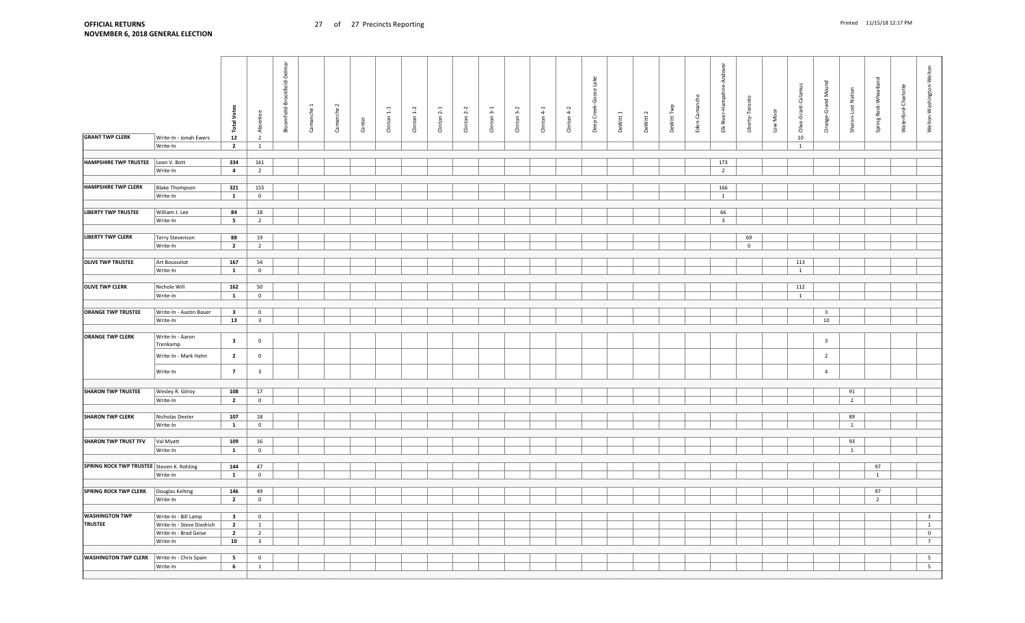| <b>GRANT TWP CLERK</b>                    | Write-In - Jonah Ewers                            | <b>Total Votes</b><br>${\bf 12}$ | Absentee<br>$\overline{2}$ | Bloomfield-Brookfield-Delmar | Camanche : | Camanche 2 | Center | $1-1$<br>Clinton | $Cinton 1-2$ | $Climon 2-1$ | Clinton <sub>2-2</sub> | Clinton 3-1 | Clinton 3-2 | $Climon 4-1$ | $Clinton 4-2$ | Lake<br>Deep Creek-Goose | DeWitt 1 | DeWitt 2 | DeWitt Twp | -Cam<br>Eden- | Andove<br>pshire-<br>River-Han<br>$\overline{E}$ | Liberty-Toronto | Low Moor | Olive-Grant-Calamus<br>$10\,$ | 겯<br>Š<br>Orange-Grand  | Sharon-Lost Nation   | Spring Rock-Wheatland | Waterford-Charlotte | Welton-Washington-Welton |
|-------------------------------------------|---------------------------------------------------|----------------------------------|----------------------------|------------------------------|------------|------------|--------|------------------|--------------|--------------|------------------------|-------------|-------------|--------------|---------------|--------------------------|----------|----------|------------|---------------|--------------------------------------------------|-----------------|----------|-------------------------------|-------------------------|----------------------|-----------------------|---------------------|--------------------------|
|                                           | Write-In                                          | $\overline{2}$                   | 1                          |                              |            |            |        |                  |              |              |                        |             |             |              |               |                          |          |          |            |               |                                                  |                 |          | 1                             |                         |                      |                       |                     |                          |
|                                           |                                                   |                                  |                            |                              |            |            |        |                  |              |              |                        |             |             |              |               |                          |          |          |            |               |                                                  |                 |          |                               |                         |                      |                       |                     |                          |
| <b>HAMPSHIRE TWP TRUSTEE</b>              | Leon V. Bott                                      | 334                              | 161                        |                              |            |            |        |                  |              |              |                        |             |             |              |               |                          |          |          |            |               | 173                                              |                 |          |                               |                         |                      |                       |                     |                          |
|                                           | Write-In                                          | $\overline{a}$                   | $\overline{2}$             |                              |            |            |        |                  |              |              |                        |             |             |              |               |                          |          |          |            |               | $\overline{2}$                                   |                 |          |                               |                         |                      |                       |                     |                          |
|                                           |                                                   |                                  |                            |                              |            |            |        |                  |              |              |                        |             |             |              |               |                          |          |          |            |               |                                                  |                 |          |                               |                         |                      |                       |                     |                          |
| <b>HAMPSHIRE TWP CLERK</b>                | <b>Blake Thompson</b>                             | 321                              | 155                        |                              |            |            |        |                  |              |              |                        |             |             |              |               |                          |          |          |            |               | 166                                              |                 |          |                               |                         |                      |                       |                     |                          |
|                                           | Write-In                                          | $\mathbf{1}$                     | $\overline{0}$             |                              |            |            |        |                  |              |              |                        |             |             |              |               |                          |          |          |            |               | $\mathbf{1}$                                     |                 |          |                               |                         |                      |                       |                     |                          |
|                                           |                                                   |                                  |                            |                              |            |            |        |                  |              |              |                        |             |             |              |               |                          |          |          |            |               |                                                  |                 |          |                               |                         |                      |                       |                     |                          |
| <b>LIBERTY TWP TRUSTEE</b>                | William J. Lee                                    | 84                               | 18                         |                              |            |            |        |                  |              |              |                        |             |             |              |               |                          |          |          |            |               | 66                                               |                 |          |                               |                         |                      |                       |                     |                          |
|                                           | Write-In                                          | $5^{\circ}$                      | $\overline{2}$             |                              |            |            |        |                  |              |              |                        |             |             |              |               |                          |          |          |            |               | $\overline{3}$                                   |                 |          |                               |                         |                      |                       |                     |                          |
|                                           |                                                   |                                  |                            |                              |            |            |        |                  |              |              |                        |             |             |              |               |                          |          |          |            |               |                                                  |                 |          |                               |                         |                      |                       |                     |                          |
| <b>LIBERTY TWP CLERK</b>                  | Terry Stevenson                                   | 88                               | 19                         |                              |            |            |        |                  |              |              |                        |             |             |              |               |                          |          |          |            |               |                                                  | 69              |          |                               |                         |                      |                       |                     |                          |
|                                           | Write-In                                          | $\overline{\mathbf{2}}$          | $\overline{2}$             |                              |            |            |        |                  |              |              |                        |             |             |              |               |                          |          |          |            |               |                                                  | $\mathbf 0$     |          |                               |                         |                      |                       |                     |                          |
|                                           |                                                   |                                  |                            |                              |            |            |        |                  |              |              |                        |             |             |              |               |                          |          |          |            |               |                                                  |                 |          |                               |                         |                      |                       |                     |                          |
| <b>OLIVE TWP TRUSTEE</b>                  | Art Bousselot                                     | 167                              | 54                         |                              |            |            |        |                  |              |              |                        |             |             |              |               |                          |          |          |            |               |                                                  |                 |          | 113                           |                         |                      |                       |                     |                          |
|                                           | Write-In                                          | $\mathbf{1}$                     | $\mathbf 0$                |                              |            |            |        |                  |              |              |                        |             |             |              |               |                          |          |          |            |               |                                                  |                 |          | $\mathbf{1}$                  |                         |                      |                       |                     |                          |
|                                           |                                                   |                                  |                            |                              |            |            |        |                  |              |              |                        |             |             |              |               |                          |          |          |            |               |                                                  |                 |          |                               |                         |                      |                       |                     |                          |
| <b>OLIVE TWP CLERK</b>                    | Nichole Will                                      | 162                              | 50                         |                              |            |            |        |                  |              |              |                        |             |             |              |               |                          |          |          |            |               |                                                  |                 |          | 112                           |                         |                      |                       |                     |                          |
|                                           | Write-In                                          | $\mathbf{1}$                     | $\mathbf{0}$               |                              |            |            |        |                  |              |              |                        |             |             |              |               |                          |          |          |            |               |                                                  |                 |          | $\mathbf{1}$                  |                         |                      |                       |                     |                          |
| <b>ORANGE TWP TRUSTEE</b>                 | Write-In - Austin Bauer                           | $\overline{\mathbf{3}}$          | $\mathbf 0$                |                              |            |            |        |                  |              |              |                        |             |             |              |               |                          |          |          |            |               |                                                  |                 |          |                               | $\overline{\mathbf{3}}$ |                      |                       |                     |                          |
|                                           | Write-In                                          | 13                               | $\overline{\mathbf{3}}$    |                              |            |            |        |                  |              |              |                        |             |             |              |               |                          |          |          |            |               |                                                  |                 |          |                               | 10                      |                      |                       |                     |                          |
|                                           |                                                   |                                  |                            |                              |            |            |        |                  |              |              |                        |             |             |              |               |                          |          |          |            |               |                                                  |                 |          |                               |                         |                      |                       |                     |                          |
| <b>ORANGE TWP CLERK</b>                   | Write-In - Aaron<br>Trenkamp                      | $\overline{\mathbf{3}}$          | $\mathbf 0$                |                              |            |            |        |                  |              |              |                        |             |             |              |               |                          |          |          |            |               |                                                  |                 |          |                               | $\overline{\mathbf{3}}$ |                      |                       |                     |                          |
|                                           | Write-In - Mark Hahn                              | $\overline{\mathbf{2}}$          | $\pmb{0}$                  |                              |            |            |        |                  |              |              |                        |             |             |              |               |                          |          |          |            |               |                                                  |                 |          |                               | $\overline{2}$          |                      |                       |                     |                          |
|                                           | Write-In                                          | $\overline{7}$                   | $\overline{\mathbf{3}}$    |                              |            |            |        |                  |              |              |                        |             |             |              |               |                          |          |          |            |               |                                                  |                 |          |                               | $\overline{4}$          |                      |                       |                     |                          |
|                                           |                                                   |                                  |                            |                              |            |            |        |                  |              |              |                        |             |             |              |               |                          |          |          |            |               |                                                  |                 |          |                               |                         |                      |                       |                     |                          |
| <b>SHARON TWP TRUSTEE</b>                 | Wesley R. Gilroy<br>Write-In                      | 108<br>$\overline{2}$            | 17<br>$\mathsf 0$          |                              |            |            |        |                  |              |              |                        |             |             |              |               |                          |          |          |            |               |                                                  |                 |          |                               |                         | 91<br>$\overline{2}$ |                       |                     |                          |
|                                           |                                                   |                                  |                            |                              |            |            |        |                  |              |              |                        |             |             |              |               |                          |          |          |            |               |                                                  |                 |          |                               |                         |                      |                       |                     |                          |
| <b>SHARON TWP CLERK</b>                   | Nicholas Dexter                                   | 107                              | 18                         |                              |            |            |        |                  |              |              |                        |             |             |              |               |                          |          |          |            |               |                                                  |                 |          |                               |                         | 89                   |                       |                     |                          |
|                                           | Write-In                                          | $\mathbf{1}$                     | $\mathbf 0$                |                              |            |            |        |                  |              |              |                        |             |             |              |               |                          |          |          |            |               |                                                  |                 |          |                               |                         | $\mathbf{1}$         |                       |                     |                          |
|                                           |                                                   |                                  |                            |                              |            |            |        |                  |              |              |                        |             |             |              |               |                          |          |          |            |               |                                                  |                 |          |                               |                         |                      |                       |                     |                          |
| <b>SHARON TWP TRUST TFV</b>               | Val Myatt                                         | 109                              | $16\,$                     |                              |            |            |        |                  |              |              |                        |             |             |              |               |                          |          |          |            |               |                                                  |                 |          |                               |                         | 93                   |                       |                     |                          |
|                                           | Write-In                                          | $\mathbf{1}$                     | $\overline{0}$             |                              |            |            |        |                  |              |              |                        |             |             |              |               |                          |          |          |            |               |                                                  |                 |          |                               |                         | 1                    |                       |                     |                          |
|                                           |                                                   |                                  |                            |                              |            |            |        |                  |              |              |                        |             |             |              |               |                          |          |          |            |               |                                                  |                 |          |                               |                         |                      |                       |                     |                          |
| SPRING ROCK TWP TRUSTEE Steven K. Rohling |                                                   | 144                              | 47                         |                              |            |            |        |                  |              |              |                        |             |             |              |               |                          |          |          |            |               |                                                  |                 |          |                               |                         |                      | 97                    |                     |                          |
|                                           | Write-In                                          | $\mathbf{1}$                     | $\overline{0}$             |                              |            |            |        |                  |              |              |                        |             |             |              |               |                          |          |          |            |               |                                                  |                 |          |                               |                         |                      | $\mathbf{1}$          |                     |                          |
|                                           |                                                   |                                  |                            |                              |            |            |        |                  |              |              |                        |             |             |              |               |                          |          |          |            |               |                                                  |                 |          |                               |                         |                      |                       |                     |                          |
| <b>SPRING ROCK TWP CLERK</b>              | Douglas Kelting                                   | 146                              | 49                         |                              |            |            |        |                  |              |              |                        |             |             |              |               |                          |          |          |            |               |                                                  |                 |          |                               |                         |                      | 97                    |                     |                          |
|                                           | Write-In                                          | $\overline{2}$                   | $\bf{0}$                   |                              |            |            |        |                  |              |              |                        |             |             |              |               |                          |          |          |            |               |                                                  |                 |          |                               |                         |                      | $\overline{2}$        |                     |                          |
| <b>WASHINGTON TWP</b>                     |                                                   | $\overline{\mathbf{3}}$          | $\overline{0}$             |                              |            |            |        |                  |              |              |                        |             |             |              |               |                          |          |          |            |               |                                                  |                 |          |                               |                         |                      |                       |                     | $\overline{\mathbf{3}}$  |
| <b>TRUSTEE</b>                            | Write-In - Bill Lamp<br>Write-In - Steve Diedrich | $\overline{2}$                   | $\mathbf{1}$               |                              |            |            |        |                  |              |              |                        |             |             |              |               |                          |          |          |            |               |                                                  |                 |          |                               |                         |                      |                       |                     | $\overline{1}$           |
|                                           | Write-In - Brad Geise                             | $\overline{\mathbf{2}}$          | $\overline{2}$             |                              |            |            |        |                  |              |              |                        |             |             |              |               |                          |          |          |            |               |                                                  |                 |          |                               |                         |                      |                       |                     | $\overline{0}$           |
|                                           | Write-In                                          | 10                               | $\overline{\mathbf{3}}$    |                              |            |            |        |                  |              |              |                        |             |             |              |               |                          |          |          |            |               |                                                  |                 |          |                               |                         |                      |                       |                     | $7\overline{ }$          |
|                                           |                                                   |                                  |                            |                              |            |            |        |                  |              |              |                        |             |             |              |               |                          |          |          |            |               |                                                  |                 |          |                               |                         |                      |                       |                     |                          |
| <b>WASHINGTON TWP CLERK</b>               | Write-In - Chris Spain                            | $5\overline{5}$                  | $\mathbf{0}$               |                              |            |            |        |                  |              |              |                        |             |             |              |               |                          |          |          |            |               |                                                  |                 |          |                               |                         |                      |                       |                     | 5 <sup>5</sup>           |
|                                           | Write-In                                          | 6                                | $\mathbf{1}$               |                              |            |            |        |                  |              |              |                        |             |             |              |               |                          |          |          |            |               |                                                  |                 |          |                               |                         |                      |                       |                     | 5 <sup>5</sup>           |
|                                           |                                                   |                                  |                            |                              |            |            |        |                  |              |              |                        |             |             |              |               |                          |          |          |            |               |                                                  |                 |          |                               |                         |                      |                       |                     |                          |
|                                           |                                                   |                                  |                            |                              |            |            |        |                  |              |              |                        |             |             |              |               |                          |          |          |            |               |                                                  |                 |          |                               |                         |                      |                       |                     |                          |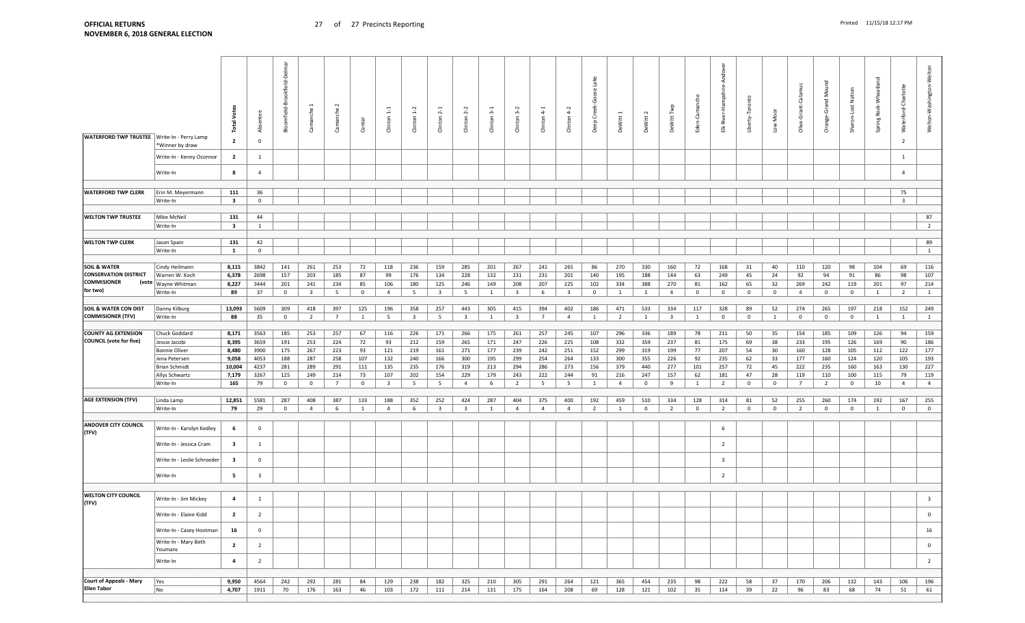| <b>WATERFORD TWP TRUSTEE</b>         | Write-In - Perry Lamp<br>*Winner by draw<br>Write-In - Kenny Oconnor<br>Write-In | Votes<br>Total<br>$\overline{2}$<br>$\overline{2}$<br>8 | Absentee<br>$\pmb{0}$<br>$\mathbf{1}$<br>$\overline{4}$ | ē<br>Delm<br>ookfield-<br>Bloomfield-B | Camanche.               | $\sim$<br>Camanche | Center         | Clinton <sub>1-1</sub>  | Clinton 1-2             | Clinton <sub>2-1</sub>  | Clinton <sub>2</sub> -  | Clinton 3-1  | Clinton 3-2             | Clinton <sub>4-1</sub> | Clinton <sub>4-2</sub>  | යි<br>Deep Creek | DeWitt         | DeWitt 2     | DeWitt Twp              | Eden-Can     | Ando<br>pshire-<br>h<br>Har<br>River<br>盖 | Liberty-Toronto | Low Moor       | Olive-Grant-Calamus | Mound<br>Grand<br>ange-<br>ŏ | Sharon-Lost Nation | Spring Rock-Wheatland | Waterford-Charlotte<br>$\overline{2}$<br>$\overline{1}$<br>$\overline{4}$ | Welton-Washington-Welton            |
|--------------------------------------|----------------------------------------------------------------------------------|---------------------------------------------------------|---------------------------------------------------------|----------------------------------------|-------------------------|--------------------|----------------|-------------------------|-------------------------|-------------------------|-------------------------|--------------|-------------------------|------------------------|-------------------------|------------------|----------------|--------------|-------------------------|--------------|-------------------------------------------|-----------------|----------------|---------------------|------------------------------|--------------------|-----------------------|---------------------------------------------------------------------------|-------------------------------------|
|                                      |                                                                                  |                                                         |                                                         |                                        |                         |                    |                |                         |                         |                         |                         |              |                         |                        |                         |                  |                |              |                         |              |                                           |                 |                |                     |                              |                    |                       |                                                                           |                                     |
| <b>WATERFORD TWP CLERK</b>           | Erin M. Meyermann                                                                | 111                                                     | 36                                                      |                                        |                         |                    |                |                         |                         |                         |                         |              |                         |                        |                         |                  |                |              |                         |              |                                           |                 |                |                     |                              |                    |                       | 75                                                                        |                                     |
|                                      | Write-In                                                                         | $\overline{\mathbf{3}}$                                 | $\mathbf 0$                                             |                                        |                         |                    |                |                         |                         |                         |                         |              |                         |                        |                         |                  |                |              |                         |              |                                           |                 |                |                     |                              |                    |                       | $\overline{\mathbf{3}}$                                                   |                                     |
|                                      |                                                                                  |                                                         |                                                         |                                        |                         |                    |                |                         |                         |                         |                         |              |                         |                        |                         |                  |                |              |                         |              |                                           |                 |                |                     |                              |                    |                       |                                                                           |                                     |
| <b>WELTON TWP TRUSTEE</b>            | Mike McNeil                                                                      | 131                                                     | 44                                                      |                                        |                         |                    |                |                         |                         |                         |                         |              |                         |                        |                         |                  |                |              |                         |              |                                           |                 |                |                     |                              |                    |                       |                                                                           | 87                                  |
|                                      | Write-In                                                                         | $\overline{\mathbf{3}}$                                 | $\mathbf{1}$                                            |                                        |                         |                    |                |                         |                         |                         |                         |              |                         |                        |                         |                  |                |              |                         |              |                                           |                 |                |                     |                              |                    |                       |                                                                           | $\overline{2}$                      |
|                                      |                                                                                  |                                                         |                                                         |                                        |                         |                    |                |                         |                         |                         |                         |              |                         |                        |                         |                  |                |              |                         |              |                                           |                 |                |                     |                              |                    |                       |                                                                           |                                     |
| <b>WELTON TWP CLERK</b>              | Jason Spain                                                                      | 131<br>1                                                | 42<br>$\mathbf 0$                                       |                                        |                         |                    |                |                         |                         |                         |                         |              |                         |                        |                         |                  |                |              |                         |              |                                           |                 |                |                     |                              |                    |                       |                                                                           | 89<br>1                             |
|                                      | Write-In                                                                         |                                                         |                                                         |                                        |                         |                    |                |                         |                         |                         |                         |              |                         |                        |                         |                  |                |              |                         |              |                                           |                 |                |                     |                              |                    |                       |                                                                           |                                     |
| <b>SOIL &amp; WATER</b>              | Cindy Heilmann                                                                   | 8,115                                                   | 3842                                                    | 141                                    | 261                     | 253                | 72             | 118                     | 236                     | 159                     | 285                     | 201          | 267                     | 241                    | 265                     | 86               | 270            | 330          | 160                     | 72           | 168                                       | 31              | 40             | 110                 | 120                          | 98                 | 104                   | 69                                                                        | 116                                 |
| <b>CONSERVATION DISTRICT</b>         | Warren W. Koch                                                                   | 6,378                                                   | 2698                                                    | 157                                    | 203                     | 185                | 87             | 99                      | 176                     | 134                     | 228                     | 132          | 231                     | 231                    | 201                     | 140              | 195            | 188          | 144                     | 63           | 249                                       | 45              | 24             | 92                  | 94                           | 91                 | 86                    | 98                                                                        | 107                                 |
| <b>COMMISIONER</b>                   | (vote   Wayne Whitman                                                            | 8,227                                                   | 3444                                                    | 201                                    | 241                     | 234                | 85             | 106                     | 180                     | 125                     | 246                     | 149          | 208                     | 207                    | 225                     | 102              | 334            | 388          | 270                     | 81           | 162                                       | 65              | 32             | 269                 | 242                          | 119                | 201                   | 97                                                                        | 214                                 |
| for two)                             | Write-In                                                                         | 89                                                      | 37                                                      | $\overline{0}$                         | $\overline{\mathbf{3}}$ | $5\overline{5}$    | $\overline{0}$ | $\overline{4}$          | 5                       | $\overline{\mathbf{3}}$ | $5\overline{5}$         | 1            | $\overline{\mathbf{3}}$ | 6                      | $\overline{\mathbf{3}}$ | $\overline{0}$   | <sup>1</sup>   | 1            | $\overline{4}$          | $\mathbf 0$  | $\overline{0}$                            | $\overline{0}$  | $\overline{0}$ | $\overline{4}$      | $\overline{0}$               | $\overline{0}$     | $\mathbf{1}$          | $\overline{2}$                                                            | $\mathbf{1}$                        |
|                                      |                                                                                  |                                                         |                                                         |                                        |                         |                    |                |                         |                         |                         |                         |              |                         |                        |                         |                  |                |              |                         |              |                                           |                 |                |                     |                              |                    |                       |                                                                           |                                     |
| <b>SOIL &amp; WATER CON DIST</b>     | Danny Kilburg                                                                    | 13,093                                                  | 5609                                                    | 309                                    | 418                     | 397                | 125            | 196                     | 358                     | 257                     | 443                     | 305          | 415                     | 394                    | 402                     | 186              | 471            | 533          | 334                     | 117          | 328                                       | 89              | 52             | 274                 | 265                          | 197                | 218                   | 152                                                                       | 249                                 |
| <b>COMMISIONER (TFV)</b>             | Write-In                                                                         | 88                                                      | 35                                                      | $\overline{0}$                         | $\overline{2}$          | $7\overline{ }$    | $\mathbf{1}$   | 5                       | $\overline{\mathbf{3}}$ | 5                       | $\overline{\mathbf{3}}$ | <sup>1</sup> | $\overline{\mathbf{3}}$ | $7\overline{ }$        | $\overline{4}$          | $\mathbf{1}$     | $\overline{2}$ | $\mathbf{1}$ | $\overline{\mathbf{3}}$ | <sup>1</sup> | $\mathbf{0}$                              | $\overline{0}$  | $\mathbf{1}$   | $\overline{0}$      | $\overline{0}$               | $\overline{0}$     | $\mathbf{1}$          | $\mathbf{1}$                                                              | $\mathbf{1}$                        |
| <b>COUNTY AG EXTENSION</b>           | Chuck Goddard                                                                    |                                                         | 3563                                                    | 185                                    | 253                     | 257                | 67             |                         |                         | 171                     | 266                     | 175          |                         | 257                    | 245                     | 107              | 296            | 336          | 189                     | 78           | 211                                       | 50              | 35             | 154                 | 185                          | 109                | 126                   | 94                                                                        | 159                                 |
| <b>COUNCIL (vote for five)</b>       | Jessie Jacobi                                                                    | 8,171<br>8,395                                          | 3659                                                    | 191                                    | 253                     | 224                | 72             | 116<br>93               | 226<br>212              | 159                     | 265                     | 171          | 261<br>247              | 226                    | 225                     | 108              | 332            | 359          | 237                     | 81           | 175                                       | 69              | 38             | 233                 | 195                          | 126                | 169                   | 90                                                                        | 186                                 |
|                                      | <b>Bonnie Oliver</b>                                                             | 8,480                                                   | 3900                                                    | 175                                    | 267                     | 223                | 93             | 121                     | 219                     | 161                     | 271                     | 177          | 239                     | 242                    | 251                     | 152              | 299            | 319          | 199                     | 77           | 207                                       | 54              | 30             | 160                 | 128                          | 105                | 112                   | 122                                                                       | 177                                 |
|                                      | Jena Petersen                                                                    | 9,058                                                   | 4053                                                    | 188                                    | 287                     | 258                | 107            | 132                     | 240                     | 166                     | 300                     | 195          | 299                     | 254                    | 264                     | 133              | 300            | 355          | 226                     | 92           | 235                                       | 62              | 33             | 177                 | 160                          | 124                | 120                   | 105                                                                       | 193                                 |
|                                      | Brian Schmidt                                                                    | 10,004                                                  | 4237                                                    | 281                                    | 289                     | 291                | 111            | 135                     | 235                     | 176                     | 319                     | 213          | 294                     | 286                    | 273                     | 156              | 379            | 440          | 277                     | 101          | 257                                       | 72              | 45             | 222                 | 235                          | 160                | 163                   | 130                                                                       | 227                                 |
|                                      | Allys Schwartz                                                                   | 7,179                                                   | 3267                                                    | 125                                    | 249                     | 214                | 73             | 107                     | 202                     | 154                     | 229                     | 179          | 243                     | 222                    | 244                     | 91               | 216            | 247          | 157                     | 62           | 181                                       | 47              | 28             | 119                 | 110                          | 100                | 115                   | 79                                                                        | 119                                 |
|                                      | Write-In                                                                         | 165                                                     | 79                                                      | $\overline{0}$                         | $\mathbf 0$             | $7\overline{ }$    | $\overline{0}$ | $\overline{\mathbf{3}}$ | - 5                     | 5                       | $\overline{4}$          | 6            | $\overline{2}$          | 5                      | 5                       | 1                | $\overline{4}$ | $\mathbf 0$  | 9                       | 1            | 2                                         | $\mathbf{0}$    | $\mathbf 0$    | $\overline{7}$      | $\overline{2}$               | $\mathbf{0}$       | 10                    | $\overline{4}$                                                            | $\overline{4}$                      |
|                                      |                                                                                  |                                                         |                                                         |                                        |                         |                    |                |                         |                         |                         |                         |              |                         |                        |                         |                  |                |              |                         |              |                                           |                 |                |                     |                              |                    |                       |                                                                           |                                     |
| <b>AGE EXTENSION (TFV)</b>           | Linda Lamp                                                                       | 12,851                                                  | 5581                                                    | 287                                    | 408                     | 387                | 133            | 188                     | 352                     | 252                     | 424                     | 287          | 404                     | 375                    | 400                     | 192              | 459            | 510          | 334                     | 128          | 314                                       | 81              | 52             | 255                 | 260                          | 174                | 192                   | 167                                                                       | 255                                 |
|                                      | Write-In                                                                         | 79                                                      | 29                                                      | $\overline{0}$                         | $\overline{4}$          | 6                  | 1              | $\overline{4}$          | 6                       | $\overline{3}$          | $\overline{\mathbf{3}}$ | <sup>1</sup> | $\overline{4}$          | $\overline{4}$         | $\overline{4}$          | $\overline{2}$   | $\overline{1}$ | $\mathbf 0$  | $\overline{2}$          | $\mathbf 0$  | $\overline{2}$                            | $\mathbf{0}$    | $\mathbf 0$    | $\overline{2}$      | $\overline{0}$               | $\mathbf 0$        | <sup>1</sup>          | $\mathbf 0$                                                               | $\overline{0}$                      |
| <b>ANDOVER CITY COUNCIL</b><br>(TFV) | Write-In - Karolyn Kedley                                                        | 6                                                       | $\overline{0}$                                          |                                        |                         |                    |                |                         |                         |                         |                         |              |                         |                        |                         |                  |                |              |                         |              | -6                                        |                 |                |                     |                              |                    |                       |                                                                           |                                     |
|                                      | Write-In - Jessica Cram                                                          | $\overline{\mathbf{3}}$                                 | 1                                                       |                                        |                         |                    |                |                         |                         |                         |                         |              |                         |                        |                         |                  |                |              |                         |              | $\overline{2}$                            |                 |                |                     |                              |                    |                       |                                                                           |                                     |
|                                      | Write-In - Leslie Schroeder                                                      | $\overline{\mathbf{3}}$                                 | $\overline{0}$                                          |                                        |                         |                    |                |                         |                         |                         |                         |              |                         |                        |                         |                  |                |              |                         |              | 3                                         |                 |                |                     |                              |                    |                       |                                                                           |                                     |
|                                      | Write-In                                                                         | 5 <sub>5</sub>                                          | $\overline{\mathbf{3}}$                                 |                                        |                         |                    |                |                         |                         |                         |                         |              |                         |                        |                         |                  |                |              |                         |              | $\overline{2}$                            |                 |                |                     |                              |                    |                       |                                                                           |                                     |
|                                      |                                                                                  |                                                         |                                                         |                                        |                         |                    |                |                         |                         |                         |                         |              |                         |                        |                         |                  |                |              |                         |              |                                           |                 |                |                     |                              |                    |                       |                                                                           |                                     |
| <b>WELTON CITY COUNCIL</b>           |                                                                                  |                                                         |                                                         |                                        |                         |                    |                |                         |                         |                         |                         |              |                         |                        |                         |                  |                |              |                         |              |                                           |                 |                |                     |                              |                    |                       |                                                                           |                                     |
| (TFV)                                | Write-In - Jim Mickey<br>Write-In - Elaine Kidd                                  | 4<br>$\overline{\mathbf{2}}$                            | 1<br>$\overline{2}$                                     |                                        |                         |                    |                |                         |                         |                         |                         |              |                         |                        |                         |                  |                |              |                         |              |                                           |                 |                |                     |                              |                    |                       |                                                                           | $\overline{\mathbf{3}}$<br>$\Omega$ |
|                                      | Write-In - Casey Hootman                                                         | 16                                                      | $\overline{0}$                                          |                                        |                         |                    |                |                         |                         |                         |                         |              |                         |                        |                         |                  |                |              |                         |              |                                           |                 |                |                     |                              |                    |                       |                                                                           | 16                                  |
|                                      | Write-In - Mary Beth<br>Youmans                                                  | $\overline{2}$                                          | $\overline{2}$                                          |                                        |                         |                    |                |                         |                         |                         |                         |              |                         |                        |                         |                  |                |              |                         |              |                                           |                 |                |                     |                              |                    |                       |                                                                           | $\overline{0}$                      |
|                                      | Write-In                                                                         | $\overline{a}$                                          | $\overline{2}$                                          |                                        |                         |                    |                |                         |                         |                         |                         |              |                         |                        |                         |                  |                |              |                         |              |                                           |                 |                |                     |                              |                    |                       |                                                                           | $\overline{2}$                      |
|                                      |                                                                                  |                                                         |                                                         |                                        |                         |                    |                |                         |                         |                         |                         |              |                         |                        |                         |                  |                |              |                         |              |                                           |                 |                |                     |                              |                    |                       |                                                                           |                                     |
| <b>Court of Appeals - Mary</b>       | Yes                                                                              | 9,950                                                   | 4564                                                    | 242                                    | 292                     | 281                | 84             | 129                     | 238                     | 182                     | 325                     | 210          | 305                     | 291                    | 264                     | 121              | 365            | 454          | 235                     | 98           | 222                                       | 58              | 37             | 170                 | 206                          | 132                | 143                   | 106                                                                       | 196                                 |
| <b>Ellen Tabor</b>                   | No                                                                               | 4,707                                                   | 1911                                                    | 70                                     | 176                     | 163                | 46             | 103                     | 172                     | 111                     | 214                     | 131          | 175                     | 164                    | 208                     | 69               | 128            | 121          | 102                     | 35           | 114                                       | 39              | 22             | 96                  | 83                           | 68                 | 74                    | 51                                                                        | 61                                  |